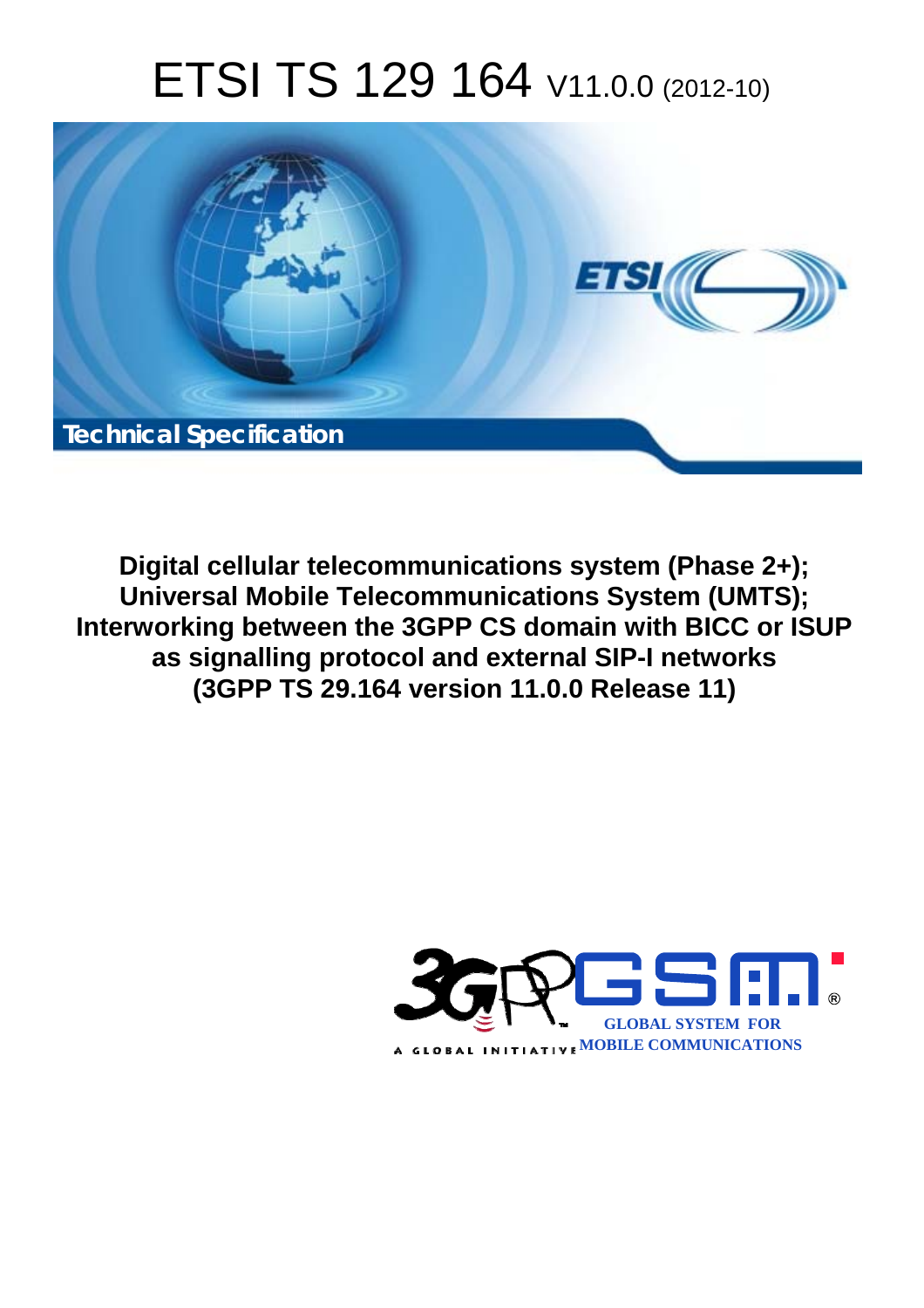# ETSI TS 129 164 V11.0.0 (2012-10)



**Digital cellular telecommunications system (Phase 2+); Universal Mobile Telecommunications System (UMTS); Interworking between the 3GPP CS domain with BICC or ISUP as signalling protocol and external SIP-I networks (3GPP TS 29.164 version 11.0.0 Release 11)** 

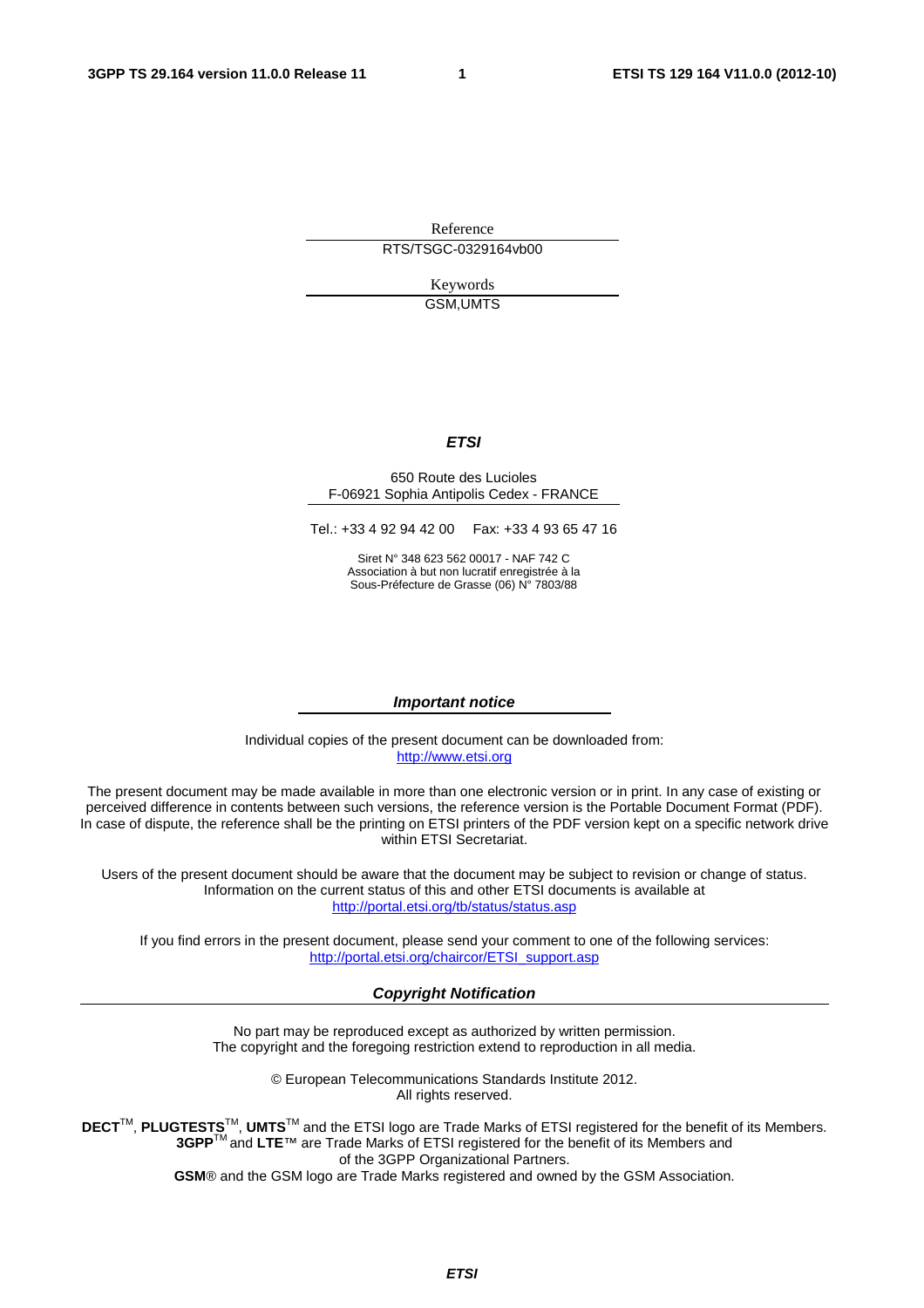Reference RTS/TSGC-0329164vb00

> Keywords GSM,UMTS

#### *ETSI*

#### 650 Route des Lucioles F-06921 Sophia Antipolis Cedex - FRANCE

Tel.: +33 4 92 94 42 00 Fax: +33 4 93 65 47 16

Siret N° 348 623 562 00017 - NAF 742 C Association à but non lucratif enregistrée à la Sous-Préfecture de Grasse (06) N° 7803/88

#### *Important notice*

Individual copies of the present document can be downloaded from: [http://www.etsi.org](http://www.etsi.org/)

The present document may be made available in more than one electronic version or in print. In any case of existing or perceived difference in contents between such versions, the reference version is the Portable Document Format (PDF). In case of dispute, the reference shall be the printing on ETSI printers of the PDF version kept on a specific network drive within ETSI Secretariat.

Users of the present document should be aware that the document may be subject to revision or change of status. Information on the current status of this and other ETSI documents is available at <http://portal.etsi.org/tb/status/status.asp>

If you find errors in the present document, please send your comment to one of the following services: [http://portal.etsi.org/chaircor/ETSI\\_support.asp](http://portal.etsi.org/chaircor/ETSI_support.asp)

#### *Copyright Notification*

No part may be reproduced except as authorized by written permission. The copyright and the foregoing restriction extend to reproduction in all media.

> © European Telecommunications Standards Institute 2012. All rights reserved.

DECT<sup>™</sup>, PLUGTESTS<sup>™</sup>, UMTS<sup>™</sup> and the ETSI logo are Trade Marks of ETSI registered for the benefit of its Members. **3GPP**TM and **LTE**™ are Trade Marks of ETSI registered for the benefit of its Members and of the 3GPP Organizational Partners.

**GSM**® and the GSM logo are Trade Marks registered and owned by the GSM Association.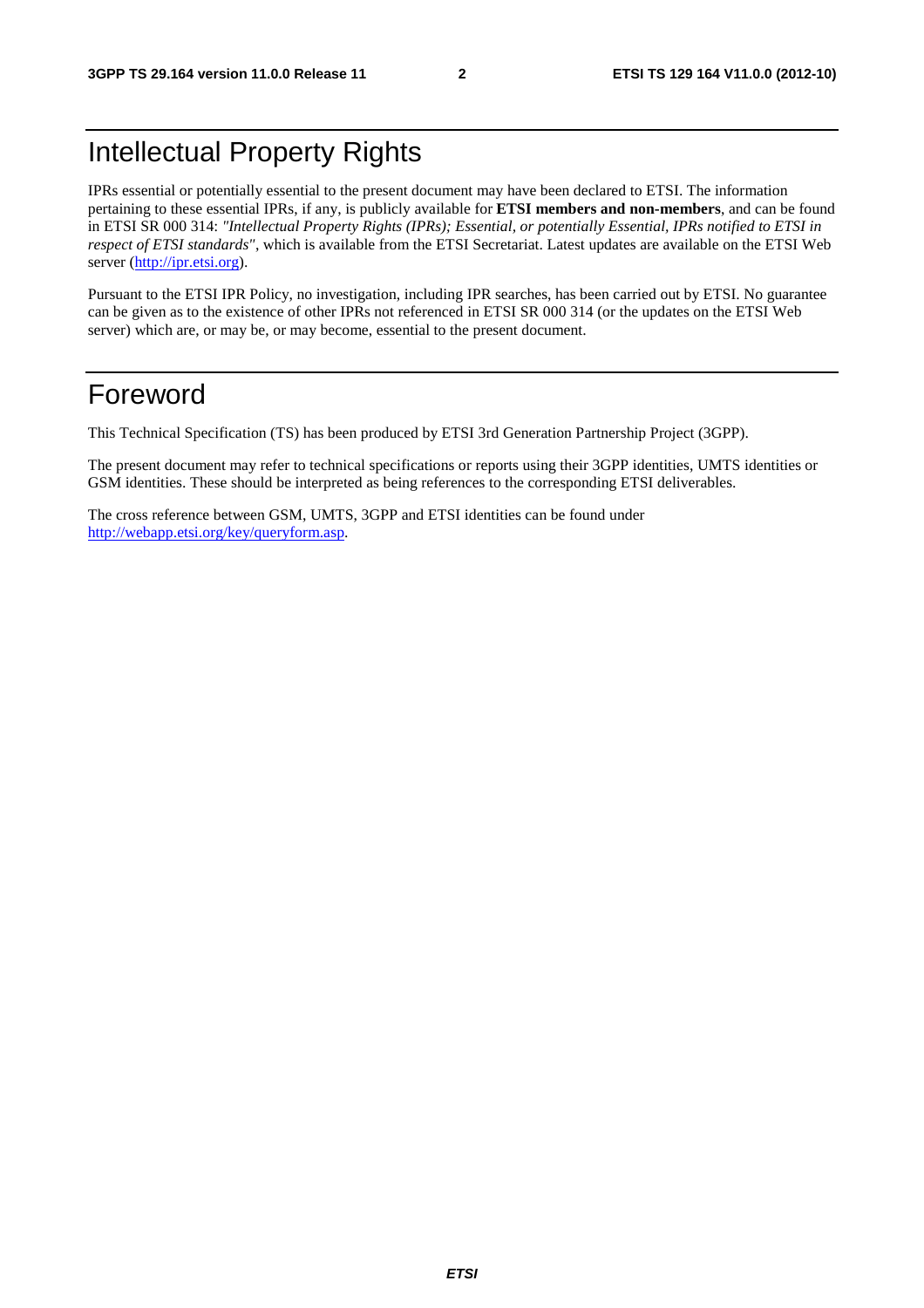# Intellectual Property Rights

IPRs essential or potentially essential to the present document may have been declared to ETSI. The information pertaining to these essential IPRs, if any, is publicly available for **ETSI members and non-members**, and can be found in ETSI SR 000 314: *"Intellectual Property Rights (IPRs); Essential, or potentially Essential, IPRs notified to ETSI in respect of ETSI standards"*, which is available from the ETSI Secretariat. Latest updates are available on the ETSI Web server [\(http://ipr.etsi.org](http://webapp.etsi.org/IPR/home.asp)).

Pursuant to the ETSI IPR Policy, no investigation, including IPR searches, has been carried out by ETSI. No guarantee can be given as to the existence of other IPRs not referenced in ETSI SR 000 314 (or the updates on the ETSI Web server) which are, or may be, or may become, essential to the present document.

# Foreword

This Technical Specification (TS) has been produced by ETSI 3rd Generation Partnership Project (3GPP).

The present document may refer to technical specifications or reports using their 3GPP identities, UMTS identities or GSM identities. These should be interpreted as being references to the corresponding ETSI deliverables.

The cross reference between GSM, UMTS, 3GPP and ETSI identities can be found under [http://webapp.etsi.org/key/queryform.asp.](http://webapp.etsi.org/key/queryform.asp)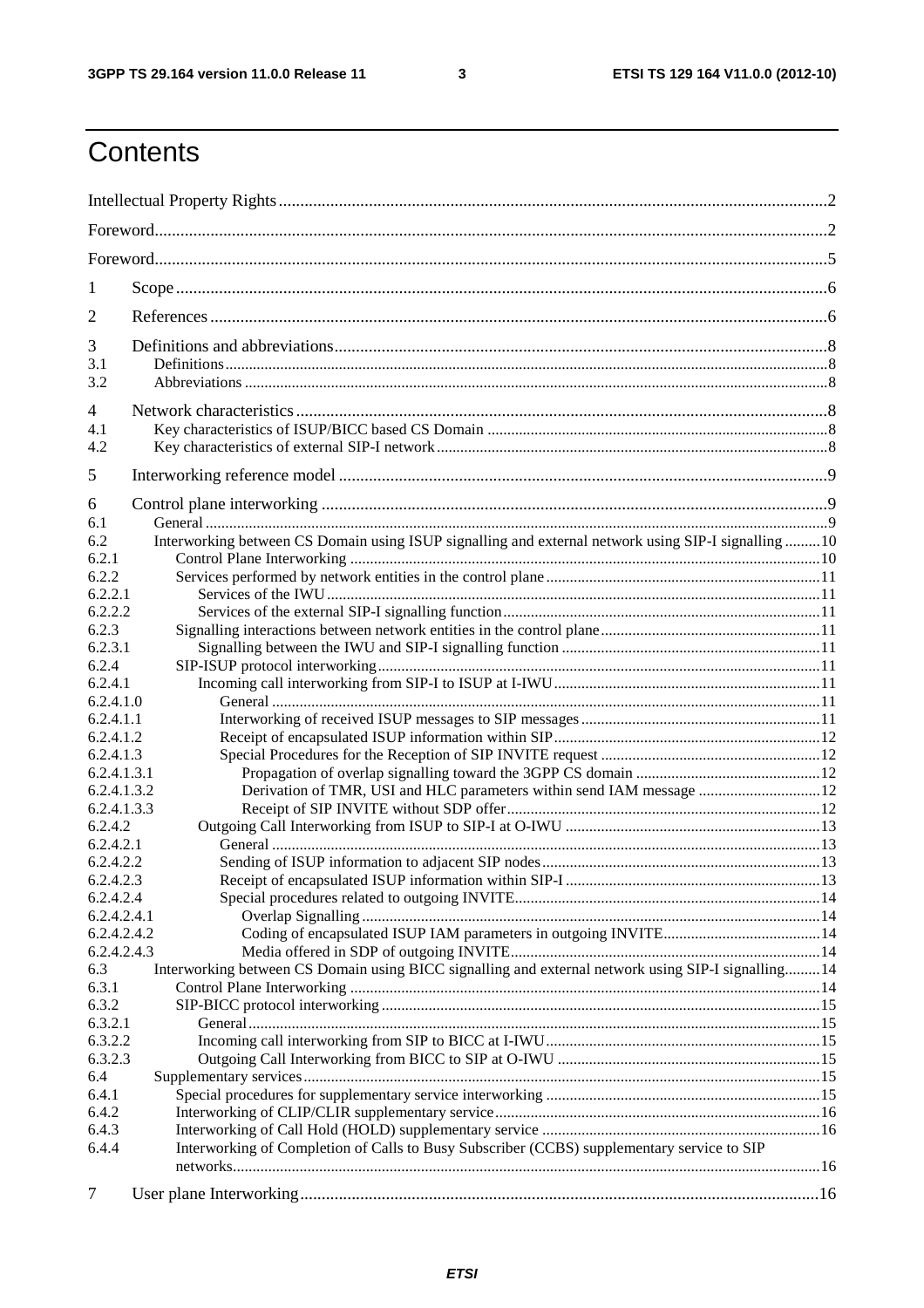$\mathbf{3}$ 

# Contents

| 1                                                                                                          |  |  |  |  |
|------------------------------------------------------------------------------------------------------------|--|--|--|--|
| 2                                                                                                          |  |  |  |  |
| 3                                                                                                          |  |  |  |  |
| 3.1                                                                                                        |  |  |  |  |
| 3.2                                                                                                        |  |  |  |  |
| 4                                                                                                          |  |  |  |  |
| 4.1<br>4.2                                                                                                 |  |  |  |  |
| 5                                                                                                          |  |  |  |  |
| 6                                                                                                          |  |  |  |  |
| 6.1                                                                                                        |  |  |  |  |
| Interworking between CS Domain using ISUP signalling and external network using SIP-I signalling 10<br>6.2 |  |  |  |  |
| 6.2.1                                                                                                      |  |  |  |  |
| 6.2.2                                                                                                      |  |  |  |  |
| 6.2.2.1<br>6.2.2.2                                                                                         |  |  |  |  |
| 6.2.3                                                                                                      |  |  |  |  |
| 6.2.3.1                                                                                                    |  |  |  |  |
| 6.2.4                                                                                                      |  |  |  |  |
| 6.2.4.1                                                                                                    |  |  |  |  |
| 6.2.4.1.0                                                                                                  |  |  |  |  |
| 6.2.4.1.1                                                                                                  |  |  |  |  |
| 6.2.4.1.2                                                                                                  |  |  |  |  |
| 6.2.4.1.3                                                                                                  |  |  |  |  |
| 6.2.4.1.3.1                                                                                                |  |  |  |  |
| Derivation of TMR, USI and HLC parameters within send IAM message  12<br>6.2.4.1.3.2                       |  |  |  |  |
| 6.2.4.1.3.3                                                                                                |  |  |  |  |
| 6.2.4.2                                                                                                    |  |  |  |  |
| 6.2.4.2.1                                                                                                  |  |  |  |  |
| 6.2.4.2.2<br>6.2.4.2.3                                                                                     |  |  |  |  |
| 6.2.4.2.4                                                                                                  |  |  |  |  |
| 6.2.4.2.4.1                                                                                                |  |  |  |  |
| 6.2.4.2.4.2                                                                                                |  |  |  |  |
| 6.2.4.2.4.3                                                                                                |  |  |  |  |
| Interworking between CS Domain using BICC signalling and external network using SIP-I signalling14<br>6.3  |  |  |  |  |
| 6.3.1                                                                                                      |  |  |  |  |
| 6.3.2                                                                                                      |  |  |  |  |
| 6.3.2.1                                                                                                    |  |  |  |  |
| 6.3.2.2                                                                                                    |  |  |  |  |
| 6.3.2.3                                                                                                    |  |  |  |  |
| 6.4<br>6.4.1                                                                                               |  |  |  |  |
| 6.4.2                                                                                                      |  |  |  |  |
| 6.4.3                                                                                                      |  |  |  |  |
| Interworking of Completion of Calls to Busy Subscriber (CCBS) supplementary service to SIP<br>6.4.4        |  |  |  |  |
| $\tau$                                                                                                     |  |  |  |  |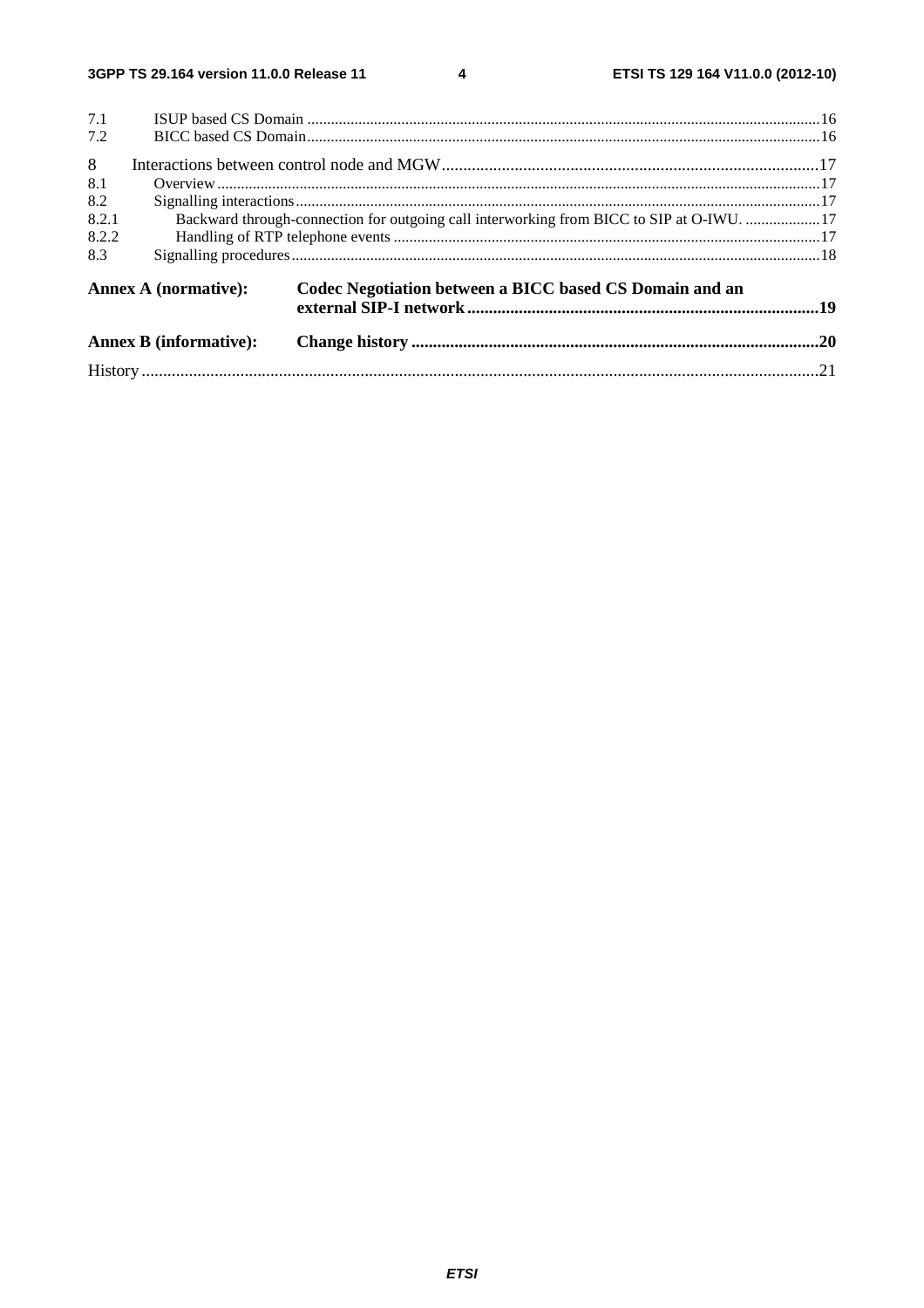$\overline{\mathbf{4}}$ 

|       | <b>Annex B</b> (informative):                                                            |                                                         |  |  |  |  |
|-------|------------------------------------------------------------------------------------------|---------------------------------------------------------|--|--|--|--|
|       | Annex A (normative):                                                                     | Codec Negotiation between a BICC based CS Domain and an |  |  |  |  |
| 8.3   |                                                                                          |                                                         |  |  |  |  |
| 8.2.2 |                                                                                          |                                                         |  |  |  |  |
| 8.2.1 | Backward through-connection for outgoing call interworking from BICC to SIP at O-IWU. 17 |                                                         |  |  |  |  |
| 8.2   |                                                                                          |                                                         |  |  |  |  |
| 8.1   |                                                                                          |                                                         |  |  |  |  |
| 8     |                                                                                          |                                                         |  |  |  |  |
| 7.2   |                                                                                          |                                                         |  |  |  |  |
| 7.1   |                                                                                          |                                                         |  |  |  |  |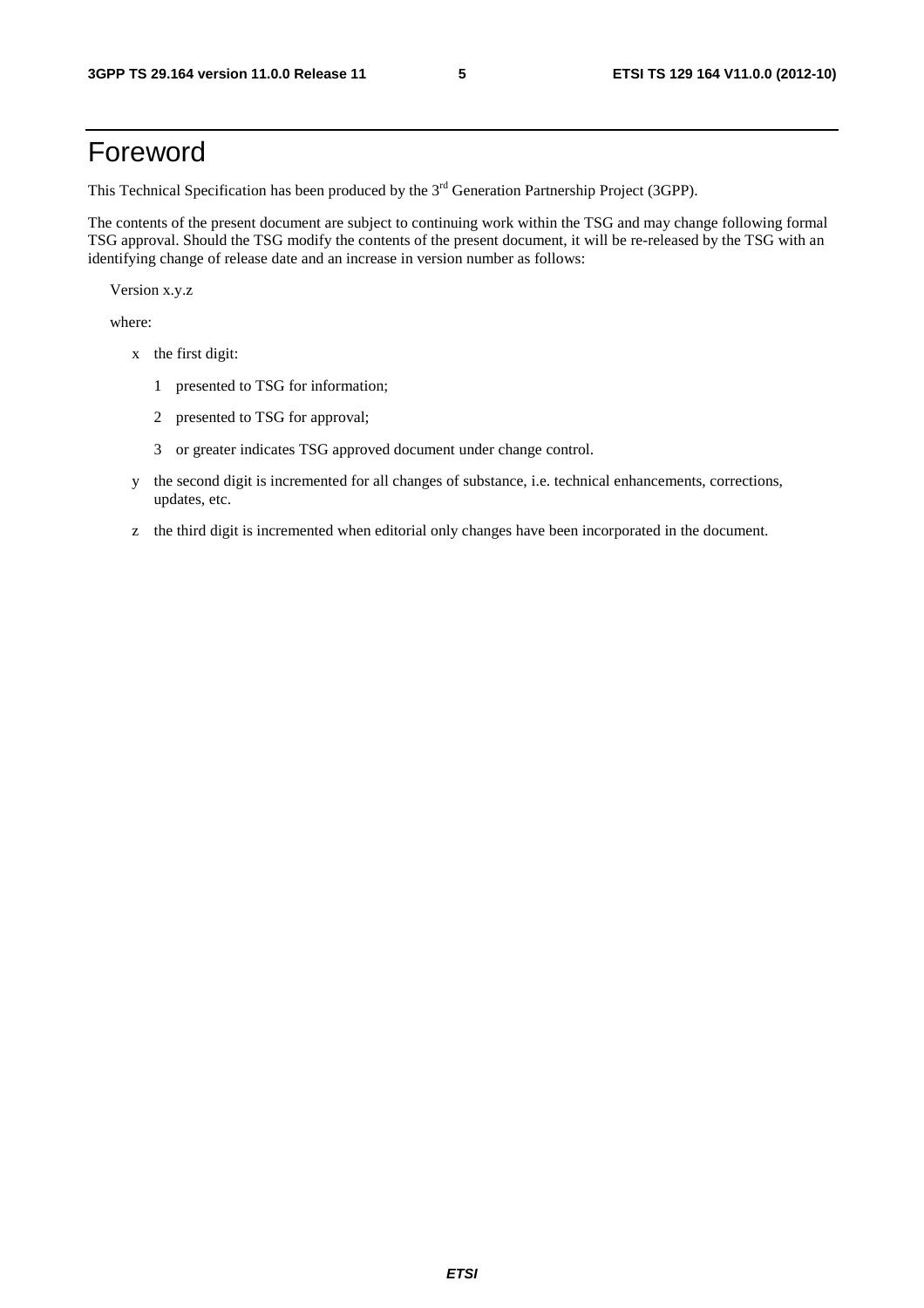# Foreword

This Technical Specification has been produced by the 3<sup>rd</sup> Generation Partnership Project (3GPP).

The contents of the present document are subject to continuing work within the TSG and may change following formal TSG approval. Should the TSG modify the contents of the present document, it will be re-released by the TSG with an identifying change of release date and an increase in version number as follows:

Version x.y.z

where:

- x the first digit:
	- 1 presented to TSG for information;
	- 2 presented to TSG for approval;
	- 3 or greater indicates TSG approved document under change control.
- y the second digit is incremented for all changes of substance, i.e. technical enhancements, corrections, updates, etc.
- z the third digit is incremented when editorial only changes have been incorporated in the document.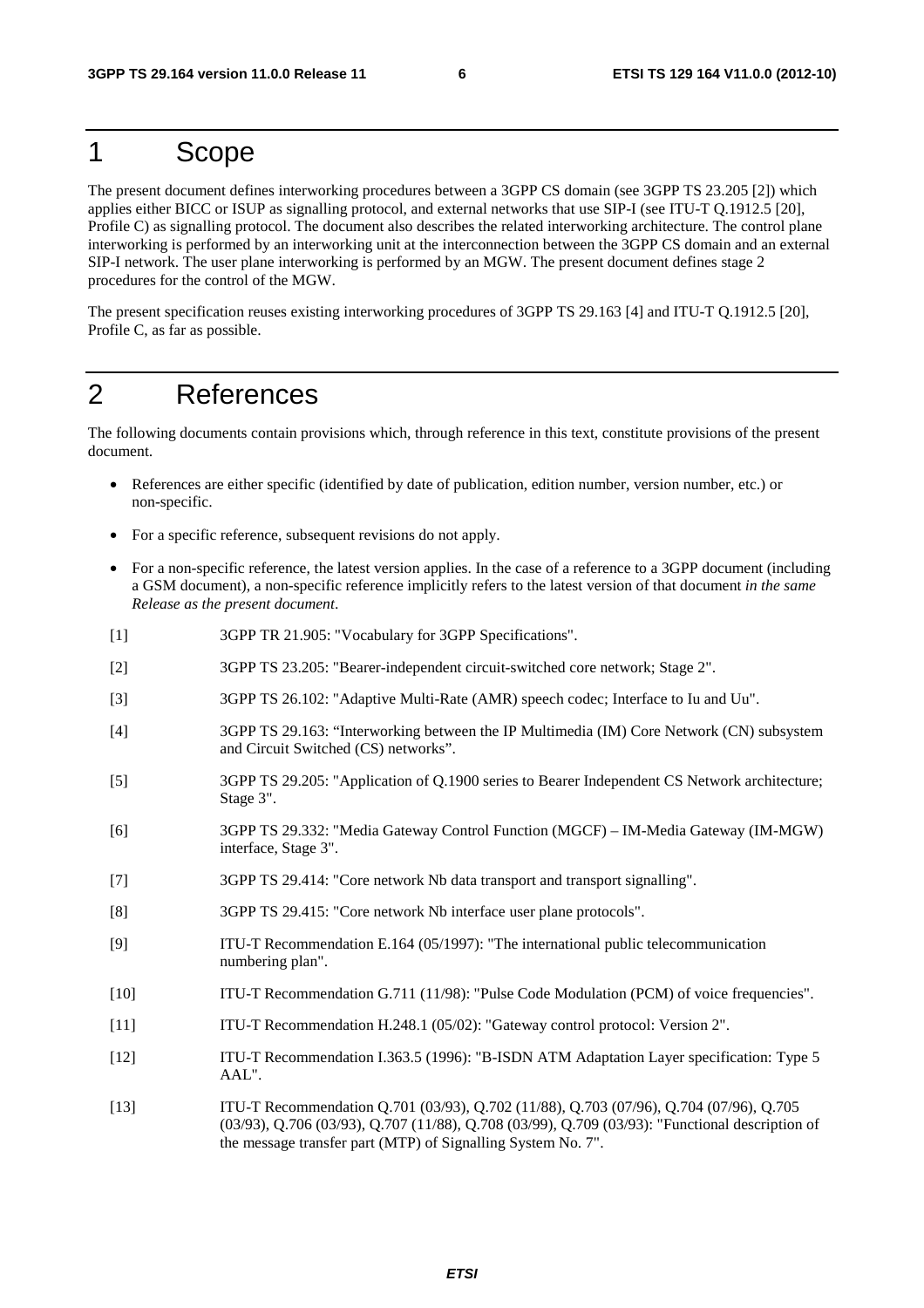# 1 Scope

The present document defines interworking procedures between a 3GPP CS domain (see 3GPP TS 23.205 [2]) which applies either BICC or ISUP as signalling protocol, and external networks that use SIP-I (see ITU-T Q.1912.5 [20], Profile C) as signalling protocol. The document also describes the related interworking architecture. The control plane interworking is performed by an interworking unit at the interconnection between the 3GPP CS domain and an external SIP-I network. The user plane interworking is performed by an MGW. The present document defines stage 2 procedures for the control of the MGW.

The present specification reuses existing interworking procedures of 3GPP TS 29.163 [4] and ITU-T Q.1912.5 [20], Profile C, as far as possible.

# 2 References

The following documents contain provisions which, through reference in this text, constitute provisions of the present document.

- References are either specific (identified by date of publication, edition number, version number, etc.) or non-specific.
- For a specific reference, subsequent revisions do not apply.
- For a non-specific reference, the latest version applies. In the case of a reference to a 3GPP document (including a GSM document), a non-specific reference implicitly refers to the latest version of that document *in the same Release as the present document*.
- [1] 3GPP TR 21.905: "Vocabulary for 3GPP Specifications".
- [2] 3GPP TS 23.205: "Bearer-independent circuit-switched core network; Stage 2".
- [3] 3GPP TS 26.102: "Adaptive Multi-Rate (AMR) speech codec; Interface to Iu and Uu".
- [4] 3GPP TS 29.163: "Interworking between the IP Multimedia (IM) Core Network (CN) subsystem and Circuit Switched (CS) networks".
- [5] 3GPP TS 29.205: "Application of Q.1900 series to Bearer Independent CS Network architecture; Stage 3".
- [6] 3GPP TS 29.332: "Media Gateway Control Function (MGCF) IM-Media Gateway (IM-MGW) interface, Stage 3".
- [7] 3GPP TS 29.414: "Core network Nb data transport and transport signalling".
- [8] 3GPP TS 29.415: "Core network Nb interface user plane protocols".
- [9] ITU-T Recommendation E.164 (05/1997): "The international public telecommunication numbering plan".
- [10] ITU-T Recommendation G.711 (11/98): "Pulse Code Modulation (PCM) of voice frequencies".
- [11] ITU-T Recommendation H.248.1 (05/02): "Gateway control protocol: Version 2".
- [12] ITU-T Recommendation I.363.5 (1996): "B-ISDN ATM Adaptation Layer specification: Type 5 AAL".
- [13] ITU-T Recommendation Q.701 (03/93), Q.702 (11/88), Q.703 (07/96), Q.704 (07/96), Q.705 (03/93), Q.706 (03/93), Q.707 (11/88), Q.708 (03/99), Q.709 (03/93): "Functional description of the message transfer part (MTP) of Signalling System No. 7".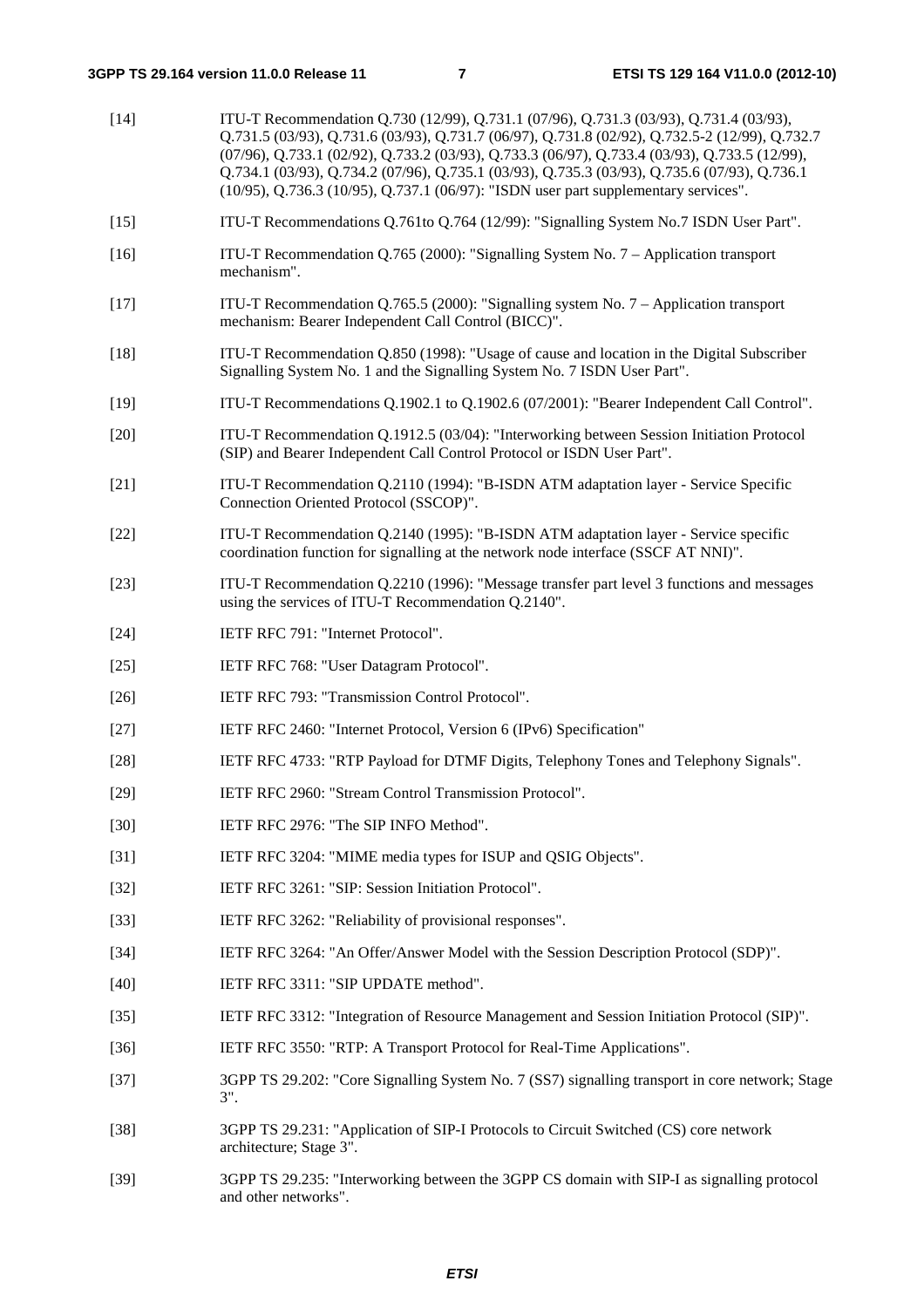| $[14]$ | ITU-T Recommendation Q.730 (12/99), Q.731.1 (07/96), Q.731.3 (03/93), Q.731.4 (03/93),<br>Q.731.5 (03/93), Q.731.6 (03/93), Q.731.7 (06/97), Q.731.8 (02/92), Q.732.5-2 (12/99), Q.732.7<br>(07/96), Q.733.1 (02/92), Q.733.2 (03/93), Q.733.3 (06/97), Q.733.4 (03/93), Q.733.5 (12/99),<br>Q.734.1 (03/93), Q.734.2 (07/96), Q.735.1 (03/93), Q.735.3 (03/93), Q.735.6 (07/93), Q.736.1<br>(10/95), Q.736.3 (10/95), Q.737.1 (06/97): "ISDN user part supplementary services". |
|--------|----------------------------------------------------------------------------------------------------------------------------------------------------------------------------------------------------------------------------------------------------------------------------------------------------------------------------------------------------------------------------------------------------------------------------------------------------------------------------------|
| $[15]$ | ITU-T Recommendations Q.761to Q.764 (12/99): "Signalling System No.7 ISDN User Part".                                                                                                                                                                                                                                                                                                                                                                                            |
| $[16]$ | ITU-T Recommendation Q.765 (2000): "Signalling System No. $7 -$ Application transport<br>mechanism".                                                                                                                                                                                                                                                                                                                                                                             |
| $[17]$ | ITU-T Recommendation Q.765.5 (2000): "Signalling system No. 7 – Application transport<br>mechanism: Bearer Independent Call Control (BICC)".                                                                                                                                                                                                                                                                                                                                     |
| $[18]$ | ITU-T Recommendation Q.850 (1998): "Usage of cause and location in the Digital Subscriber<br>Signalling System No. 1 and the Signalling System No. 7 ISDN User Part".                                                                                                                                                                                                                                                                                                            |
| $[19]$ | ITU-T Recommendations Q.1902.1 to Q.1902.6 (07/2001): "Bearer Independent Call Control".                                                                                                                                                                                                                                                                                                                                                                                         |
| $[20]$ | ITU-T Recommendation Q.1912.5 (03/04): "Interworking between Session Initiation Protocol<br>(SIP) and Bearer Independent Call Control Protocol or ISDN User Part".                                                                                                                                                                                                                                                                                                               |
| $[21]$ | ITU-T Recommendation Q.2110 (1994): "B-ISDN ATM adaptation layer - Service Specific<br>Connection Oriented Protocol (SSCOP)".                                                                                                                                                                                                                                                                                                                                                    |
| $[22]$ | ITU-T Recommendation Q.2140 (1995): "B-ISDN ATM adaptation layer - Service specific<br>coordination function for signalling at the network node interface (SSCF AT NNI)".                                                                                                                                                                                                                                                                                                        |
| $[23]$ | ITU-T Recommendation Q.2210 (1996): "Message transfer part level 3 functions and messages<br>using the services of ITU-T Recommendation Q.2140".                                                                                                                                                                                                                                                                                                                                 |
| $[24]$ | IETF RFC 791: "Internet Protocol".                                                                                                                                                                                                                                                                                                                                                                                                                                               |
| $[25]$ | IETF RFC 768: "User Datagram Protocol".                                                                                                                                                                                                                                                                                                                                                                                                                                          |
| $[26]$ | IETF RFC 793: "Transmission Control Protocol".                                                                                                                                                                                                                                                                                                                                                                                                                                   |
| $[27]$ | IETF RFC 2460: "Internet Protocol, Version 6 (IPv6) Specification"                                                                                                                                                                                                                                                                                                                                                                                                               |
| $[28]$ | IETF RFC 4733: "RTP Payload for DTMF Digits, Telephony Tones and Telephony Signals".                                                                                                                                                                                                                                                                                                                                                                                             |
| $[29]$ | IETF RFC 2960: "Stream Control Transmission Protocol".                                                                                                                                                                                                                                                                                                                                                                                                                           |
| $[30]$ | IETF RFC 2976: "The SIP INFO Method".                                                                                                                                                                                                                                                                                                                                                                                                                                            |
| $[31]$ | IETF RFC 3204: "MIME media types for ISUP and QSIG Objects".                                                                                                                                                                                                                                                                                                                                                                                                                     |
| $[32]$ | IETF RFC 3261: "SIP: Session Initiation Protocol".                                                                                                                                                                                                                                                                                                                                                                                                                               |
| $[33]$ | IETF RFC 3262: "Reliability of provisional responses".                                                                                                                                                                                                                                                                                                                                                                                                                           |
| $[34]$ | IETF RFC 3264: "An Offer/Answer Model with the Session Description Protocol (SDP)".                                                                                                                                                                                                                                                                                                                                                                                              |
| $[40]$ | IETF RFC 3311: "SIP UPDATE method".                                                                                                                                                                                                                                                                                                                                                                                                                                              |
| $[35]$ | IETF RFC 3312: "Integration of Resource Management and Session Initiation Protocol (SIP)".                                                                                                                                                                                                                                                                                                                                                                                       |
| $[36]$ | IETF RFC 3550: "RTP: A Transport Protocol for Real-Time Applications".                                                                                                                                                                                                                                                                                                                                                                                                           |
| $[37]$ | 3GPP TS 29.202: "Core Signalling System No. 7 (SS7) signalling transport in core network; Stage<br>$3$ ".                                                                                                                                                                                                                                                                                                                                                                        |
| $[38]$ | 3GPP TS 29.231: "Application of SIP-I Protocols to Circuit Switched (CS) core network<br>architecture; Stage 3".                                                                                                                                                                                                                                                                                                                                                                 |
| ר חר   |                                                                                                                                                                                                                                                                                                                                                                                                                                                                                  |

[39] 3GPP TS 29.235: "Interworking between the 3GPP CS domain with SIP-I as signalling protocol and other networks".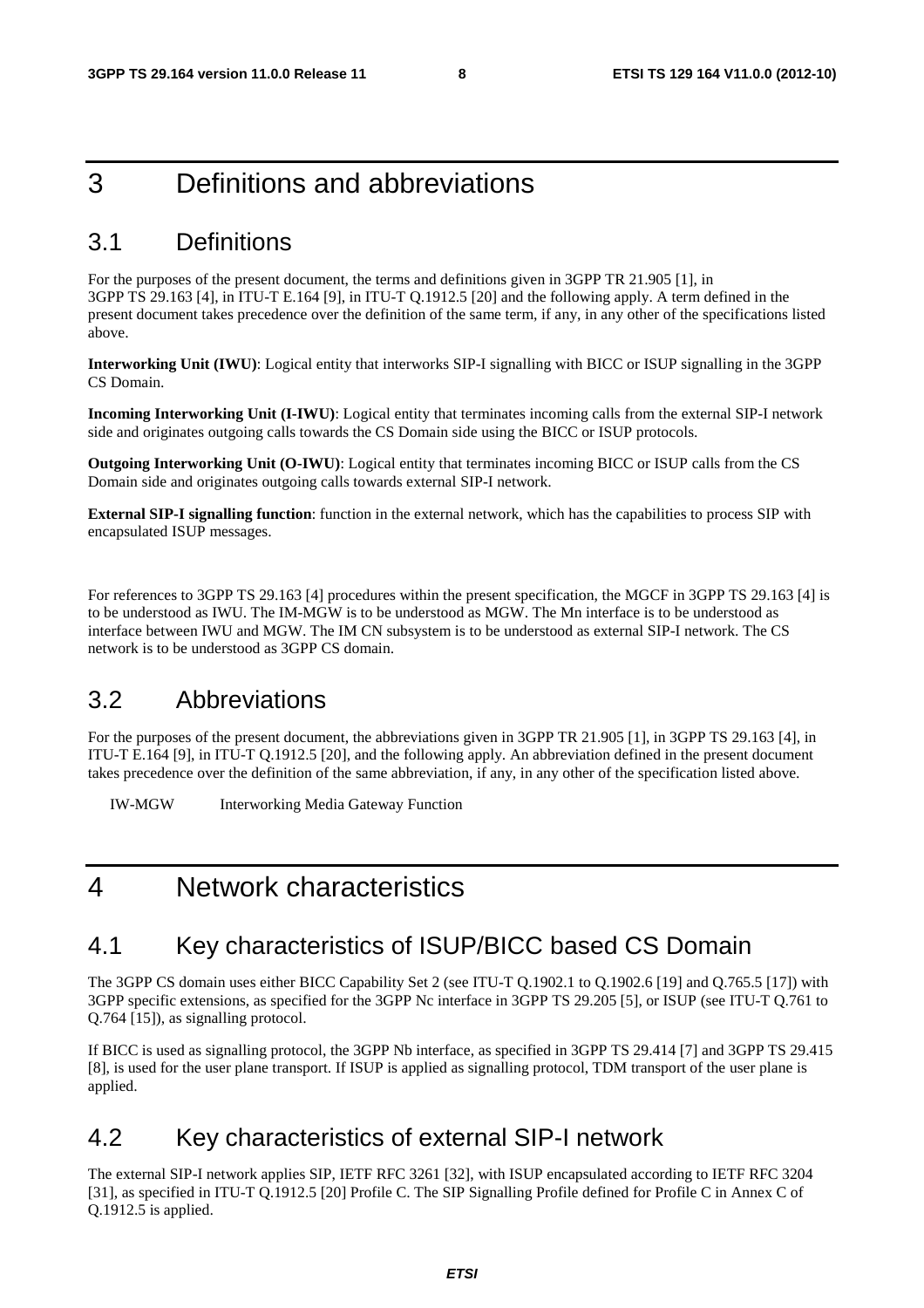# 3 Definitions and abbreviations

### 3.1 Definitions

For the purposes of the present document, the terms and definitions given in 3GPP TR 21.905 [1], in 3GPP TS 29.163 [4], in ITU-T E.164 [9], in ITU-T Q.1912.5 [20] and the following apply. A term defined in the present document takes precedence over the definition of the same term, if any, in any other of the specifications listed above.

**Interworking Unit (IWU)**: Logical entity that interworks SIP-I signalling with BICC or ISUP signalling in the 3GPP CS Domain.

**Incoming Interworking Unit (I-IWU)**: Logical entity that terminates incoming calls from the external SIP-I network side and originates outgoing calls towards the CS Domain side using the BICC or ISUP protocols.

**Outgoing Interworking Unit (O-IWU)**: Logical entity that terminates incoming BICC or ISUP calls from the CS Domain side and originates outgoing calls towards external SIP-I network.

**External SIP-I signalling function**: function in the external network, which has the capabilities to process SIP with encapsulated ISUP messages.

For references to 3GPP TS 29.163 [4] procedures within the present specification, the MGCF in 3GPP TS 29.163 [4] is to be understood as IWU. The IM-MGW is to be understood as MGW. The Mn interface is to be understood as interface between IWU and MGW. The IM CN subsystem is to be understood as external SIP-I network. The CS network is to be understood as 3GPP CS domain.

## 3.2 Abbreviations

For the purposes of the present document, the abbreviations given in 3GPP TR 21.905 [1], in 3GPP TS 29.163 [4], in ITU-T E.164 [9], in ITU-T Q.1912.5 [20], and the following apply. An abbreviation defined in the present document takes precedence over the definition of the same abbreviation, if any, in any other of the specification listed above.

IW-MGW Interworking Media Gateway Function

# 4 Network characteristics

### 4.1 Key characteristics of ISUP/BICC based CS Domain

The 3GPP CS domain uses either BICC Capability Set 2 (see ITU-T Q.1902.1 to Q.1902.6 [19] and Q.765.5 [17]) with 3GPP specific extensions, as specified for the 3GPP Nc interface in 3GPP TS 29.205 [5], or ISUP (see ITU-T Q.761 to Q.764 [15]), as signalling protocol.

If BICC is used as signalling protocol, the 3GPP Nb interface, as specified in 3GPP TS 29.414 [7] and 3GPP TS 29.415 [8], is used for the user plane transport. If ISUP is applied as signalling protocol, TDM transport of the user plane is applied.

## 4.2 Key characteristics of external SIP-I network

The external SIP-I network applies SIP, IETF RFC 3261 [32], with ISUP encapsulated according to IETF RFC 3204 [31], as specified in ITU-T Q.1912.5 [20] Profile C. The SIP Signalling Profile defined for Profile C in Annex C of Q.1912.5 is applied.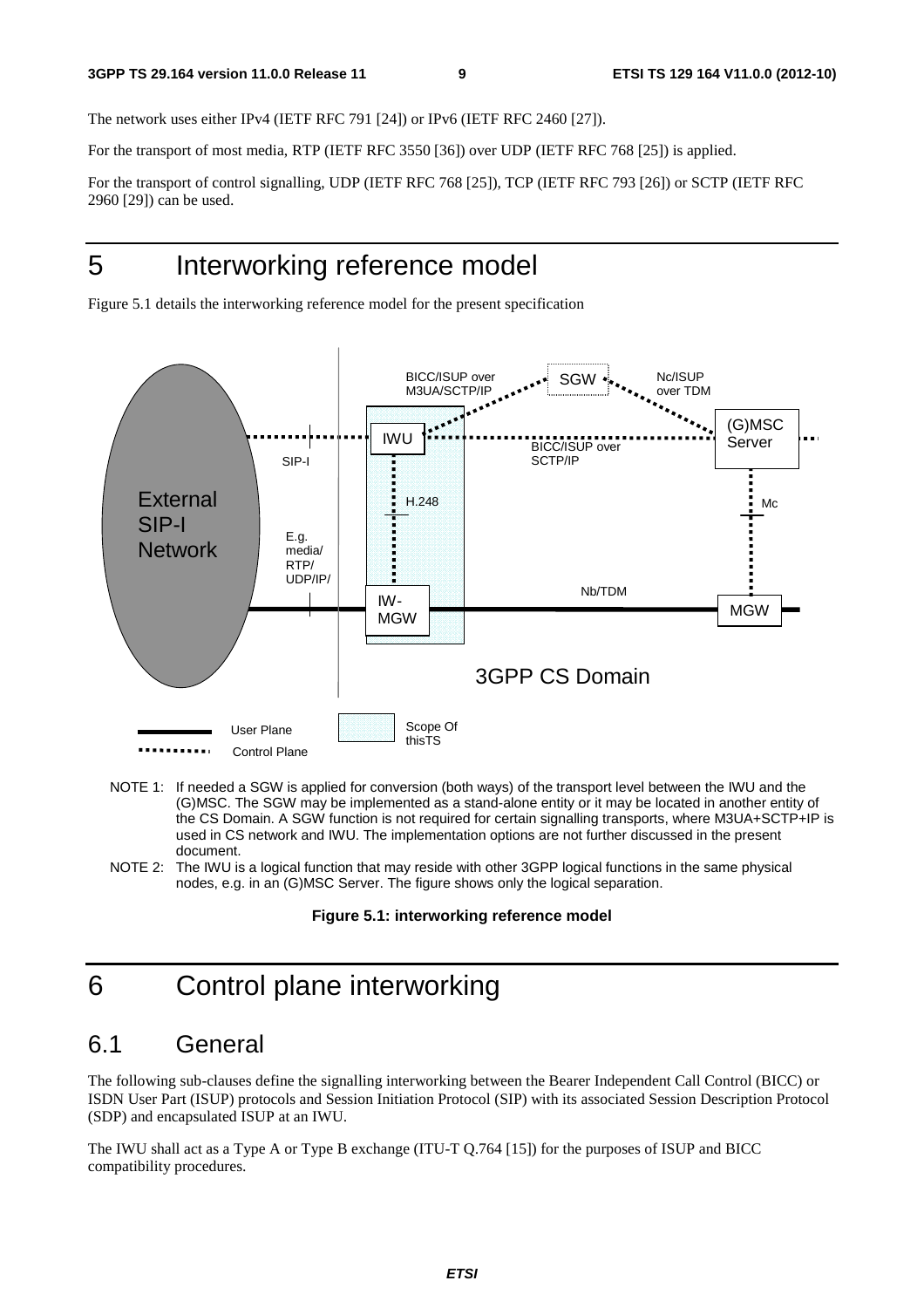The network uses either IPv4 (IETF RFC 791 [24]) or IPv6 (IETF RFC 2460 [27]).

For the transport of most media, RTP (IETF RFC 3550 [36]) over UDP (IETF RFC 768 [25]) is applied.

For the transport of control signalling, UDP (IETF RFC 768 [25]), TCP (IETF RFC 793 [26]) or SCTP (IETF RFC 2960 [29]) can be used.

# 5 Interworking reference model

Figure 5.1 details the interworking reference model for the present specification



- NOTE 1: If needed a SGW is applied for conversion (both ways) of the transport level between the IWU and the (G)MSC. The SGW may be implemented as a stand-alone entity or it may be located in another entity of the CS Domain. A SGW function is not required for certain signalling transports, where M3UA+SCTP+IP is used in CS network and IWU. The implementation options are not further discussed in the present document.
- NOTE 2: The IWU is a logical function that may reside with other 3GPP logical functions in the same physical nodes, e.g. in an (G)MSC Server. The figure shows only the logical separation.

# 6 Control plane interworking

### 6.1 General

The following sub-clauses define the signalling interworking between the Bearer Independent Call Control (BICC) or ISDN User Part (ISUP) protocols and Session Initiation Protocol (SIP) with its associated Session Description Protocol (SDP) and encapsulated ISUP at an IWU.

The IWU shall act as a Type A or Type B exchange (ITU-T Q.764 [15]) for the purposes of ISUP and BICC compatibility procedures.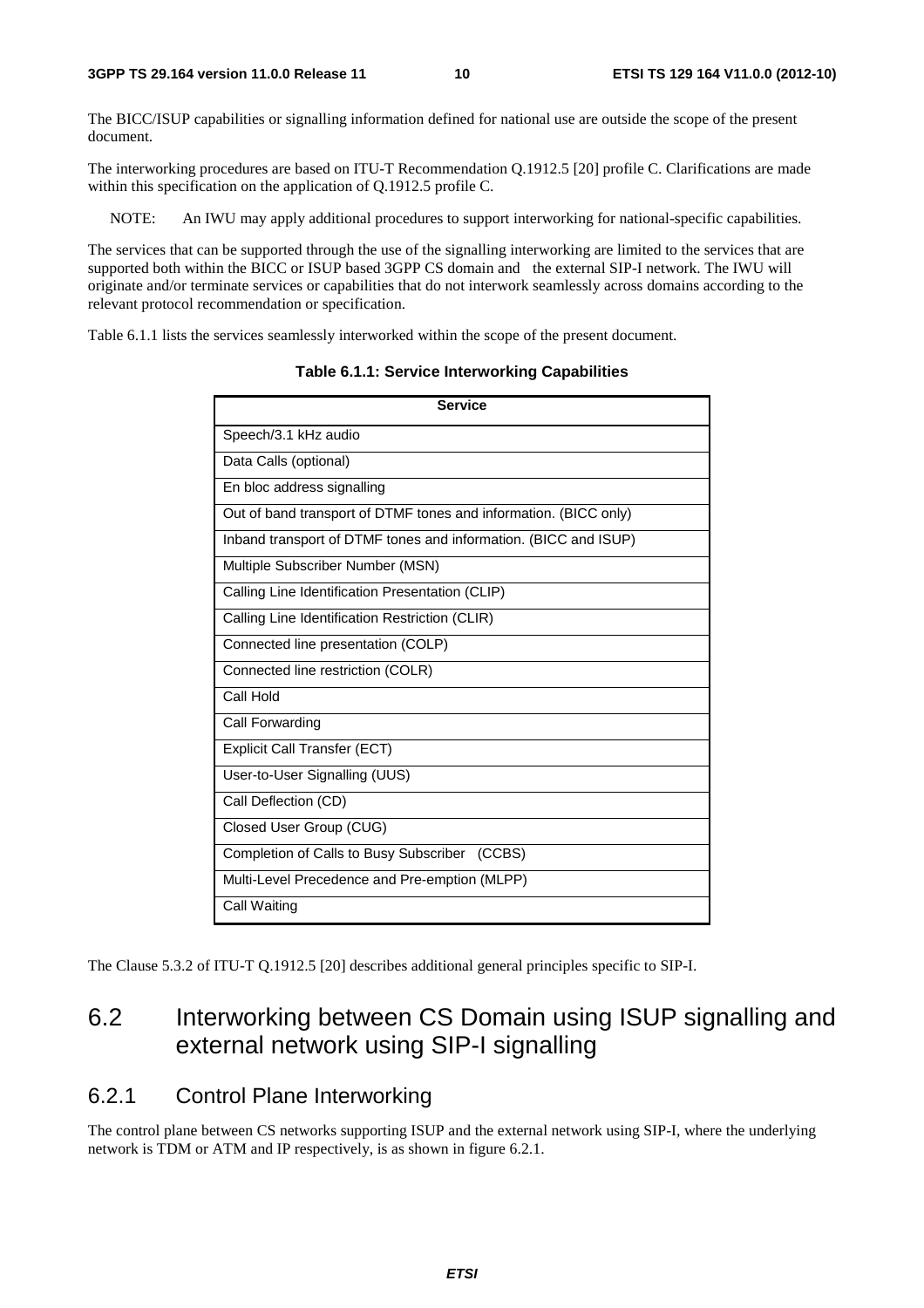The BICC/ISUP capabilities or signalling information defined for national use are outside the scope of the present document.

The interworking procedures are based on ITU-T Recommendation Q.1912.5 [20] profile C. Clarifications are made within this specification on the application of Q.1912.5 profile C.

NOTE: An IWU may apply additional procedures to support interworking for national-specific capabilities.

The services that can be supported through the use of the signalling interworking are limited to the services that are supported both within the BICC or ISUP based 3GPP CS domain and the external SIP-I network. The IWU will originate and/or terminate services or capabilities that do not interwork seamlessly across domains according to the relevant protocol recommendation or specification.

Table 6.1.1 lists the services seamlessly interworked within the scope of the present document.

**Service** Speech/3.1 kHz audio Data Calls (optional) En bloc address signalling Out of band transport of DTMF tones and information. (BICC only) Inband transport of DTMF tones and information. (BICC and ISUP) Multiple Subscriber Number (MSN) Calling Line Identification Presentation (CLIP) Calling Line Identification Restriction (CLIR) Connected line presentation (COLP) Connected line restriction (COLR) Call Hold Call Forwarding Explicit Call Transfer (ECT) User-to-User Signalling (UUS) Call Deflection (CD) Closed User Group (CUG) Completion of Calls to Busy Subscriber (CCBS) Multi-Level Precedence and Pre-emption (MLPP) Call Waiting

**Table 6.1.1: Service Interworking Capabilities** 

The Clause 5.3.2 of ITU-T Q.1912.5 [20] describes additional general principles specific to SIP-I.

# 6.2 Interworking between CS Domain using ISUP signalling and external network using SIP-I signalling

### 6.2.1 Control Plane Interworking

The control plane between CS networks supporting ISUP and the external network using SIP-I, where the underlying network is TDM or ATM and IP respectively, is as shown in figure 6.2.1.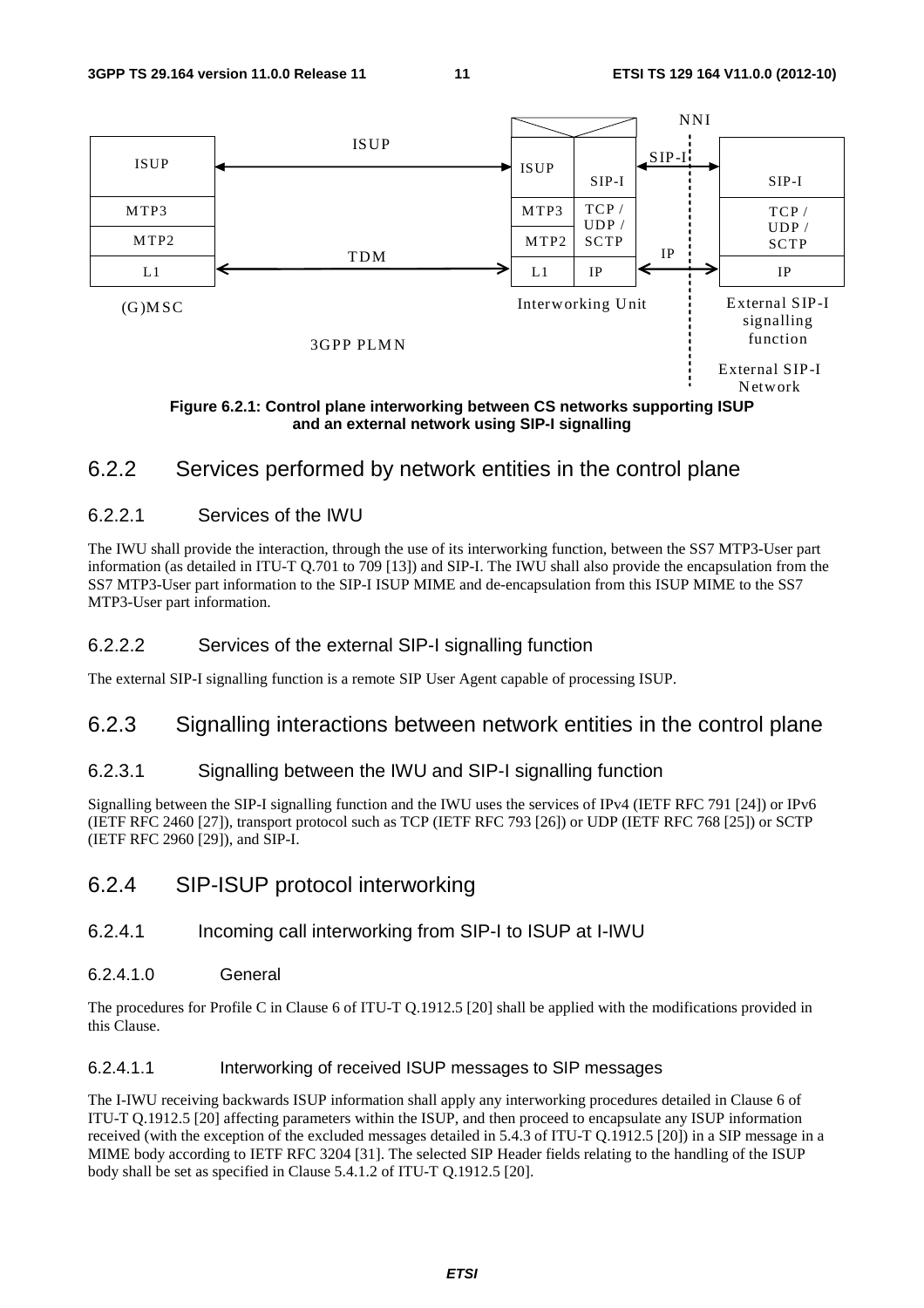

**and an external network using SIP-I signalling** 

### 6.2.2 Services performed by network entities in the control plane

#### 6.2.2.1 Services of the IWU

The IWU shall provide the interaction, through the use of its interworking function, between the SS7 MTP3-User part information (as detailed in ITU-T Q.701 to 709 [13]) and SIP-I. The IWU shall also provide the encapsulation from the SS7 MTP3-User part information to the SIP-I ISUP MIME and de-encapsulation from this ISUP MIME to the SS7 MTP3-User part information.

#### 6.2.2.2 Services of the external SIP-I signalling function

The external SIP-I signalling function is a remote SIP User Agent capable of processing ISUP.

### 6.2.3 Signalling interactions between network entities in the control plane

#### 6.2.3.1 Signalling between the IWU and SIP-I signalling function

Signalling between the SIP-I signalling function and the IWU uses the services of IPv4 (IETF RFC 791 [24]) or IPv6 (IETF RFC 2460 [27]), transport protocol such as TCP (IETF RFC 793 [26]) or UDP (IETF RFC 768 [25]) or SCTP (IETF RFC 2960 [29]), and SIP-I.

### 6.2.4 SIP-ISUP protocol interworking

#### 6.2.4.1 Incoming call interworking from SIP-I to ISUP at I-IWU

#### 6.2.4.1.0 General

The procedures for Profile C in Clause 6 of ITU-T Q.1912.5 [20] shall be applied with the modifications provided in this Clause.

#### 6.2.4.1.1 Interworking of received ISUP messages to SIP messages

The I-IWU receiving backwards ISUP information shall apply any interworking procedures detailed in Clause 6 of ITU-T Q.1912.5 [20] affecting parameters within the ISUP, and then proceed to encapsulate any ISUP information received (with the exception of the excluded messages detailed in 5.4.3 of ITU-T Q.1912.5 [20]) in a SIP message in a MIME body according to IETF RFC 3204 [31]. The selected SIP Header fields relating to the handling of the ISUP body shall be set as specified in Clause 5.4.1.2 of ITU-T Q.1912.5 [20].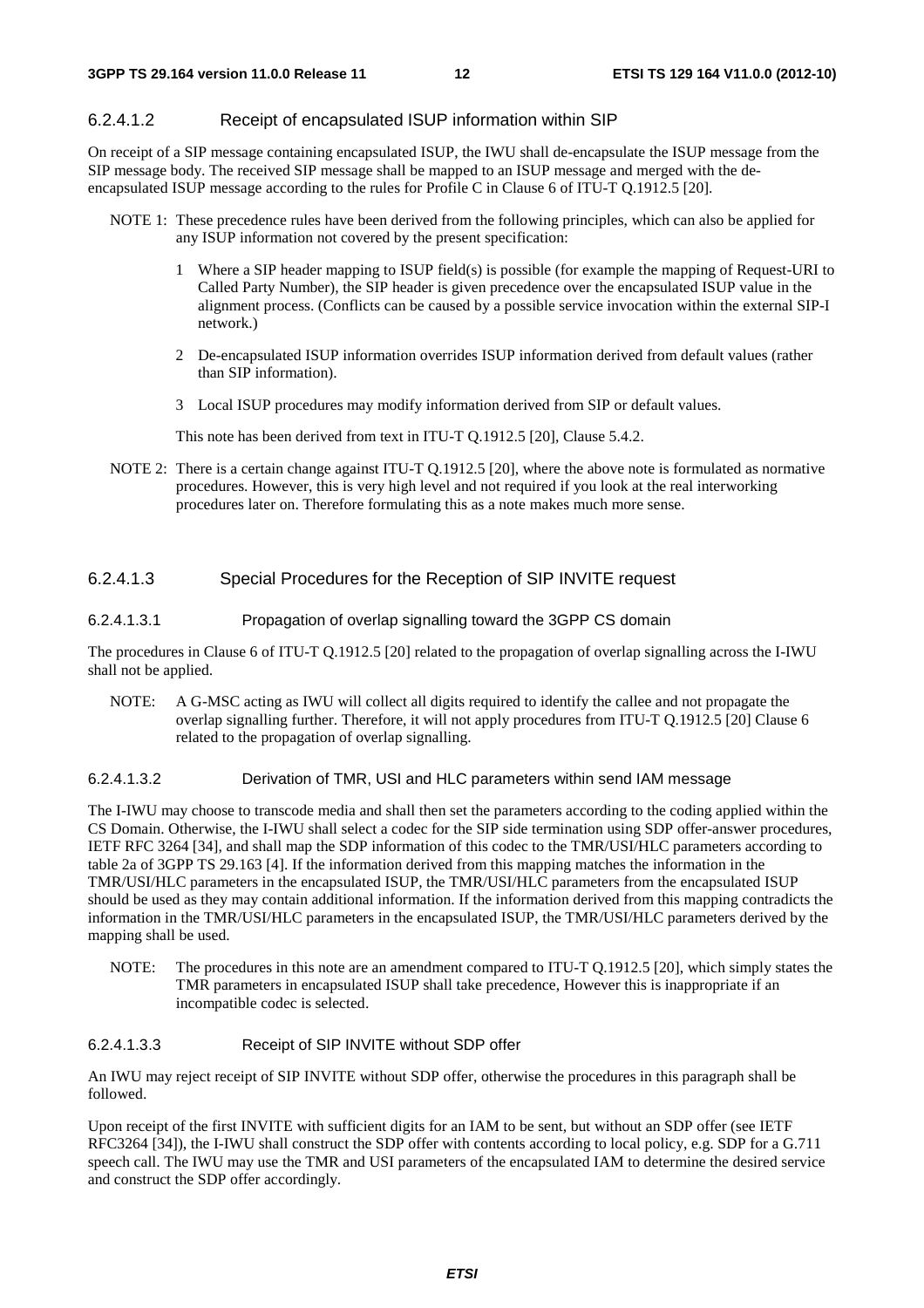#### 6.2.4.1.2 Receipt of encapsulated ISUP information within SIP

On receipt of a SIP message containing encapsulated ISUP, the IWU shall de-encapsulate the ISUP message from the SIP message body. The received SIP message shall be mapped to an ISUP message and merged with the deencapsulated ISUP message according to the rules for Profile C in Clause 6 of ITU-T Q.1912.5 [20].

- NOTE 1: These precedence rules have been derived from the following principles, which can also be applied for any ISUP information not covered by the present specification:
	- 1 Where a SIP header mapping to ISUP field(s) is possible (for example the mapping of Request-URI to Called Party Number), the SIP header is given precedence over the encapsulated ISUP value in the alignment process. (Conflicts can be caused by a possible service invocation within the external SIP-I network.)
	- 2 De-encapsulated ISUP information overrides ISUP information derived from default values (rather than SIP information).
	- 3 Local ISUP procedures may modify information derived from SIP or default values.

This note has been derived from text in ITU-T Q.1912.5 [20], Clause 5.4.2.

NOTE 2: There is a certain change against ITU-T Q.1912.5 [20], where the above note is formulated as normative procedures. However, this is very high level and not required if you look at the real interworking procedures later on. Therefore formulating this as a note makes much more sense.

#### 6.2.4.1.3 Special Procedures for the Reception of SIP INVITE request

#### 6.2.4.1.3.1 Propagation of overlap signalling toward the 3GPP CS domain

The procedures in Clause 6 of ITU-T Q.1912.5 [20] related to the propagation of overlap signalling across the I-IWU shall not be applied.

NOTE: A G-MSC acting as IWU will collect all digits required to identify the callee and not propagate the overlap signalling further. Therefore, it will not apply procedures from ITU-T Q.1912.5 [20] Clause 6 related to the propagation of overlap signalling.

#### 6.2.4.1.3.2 Derivation of TMR, USI and HLC parameters within send IAM message

The I-IWU may choose to transcode media and shall then set the parameters according to the coding applied within the CS Domain. Otherwise, the I-IWU shall select a codec for the SIP side termination using SDP offer-answer procedures, IETF RFC 3264 [34], and shall map the SDP information of this codec to the TMR/USI/HLC parameters according to table 2a of 3GPP TS 29.163 [4]. If the information derived from this mapping matches the information in the TMR/USI/HLC parameters in the encapsulated ISUP, the TMR/USI/HLC parameters from the encapsulated ISUP should be used as they may contain additional information. If the information derived from this mapping contradicts the information in the TMR/USI/HLC parameters in the encapsulated ISUP, the TMR/USI/HLC parameters derived by the mapping shall be used.

NOTE: The procedures in this note are an amendment compared to ITU-T Q.1912.5 [20], which simply states the TMR parameters in encapsulated ISUP shall take precedence, However this is inappropriate if an incompatible codec is selected.

#### 6.2.4.1.3.3 Receipt of SIP INVITE without SDP offer

An IWU may reject receipt of SIP INVITE without SDP offer, otherwise the procedures in this paragraph shall be followed.

Upon receipt of the first INVITE with sufficient digits for an IAM to be sent, but without an SDP offer (see IETF RFC3264 [34]), the I-IWU shall construct the SDP offer with contents according to local policy, e.g. SDP for a G.711 speech call. The IWU may use the TMR and USI parameters of the encapsulated IAM to determine the desired service and construct the SDP offer accordingly.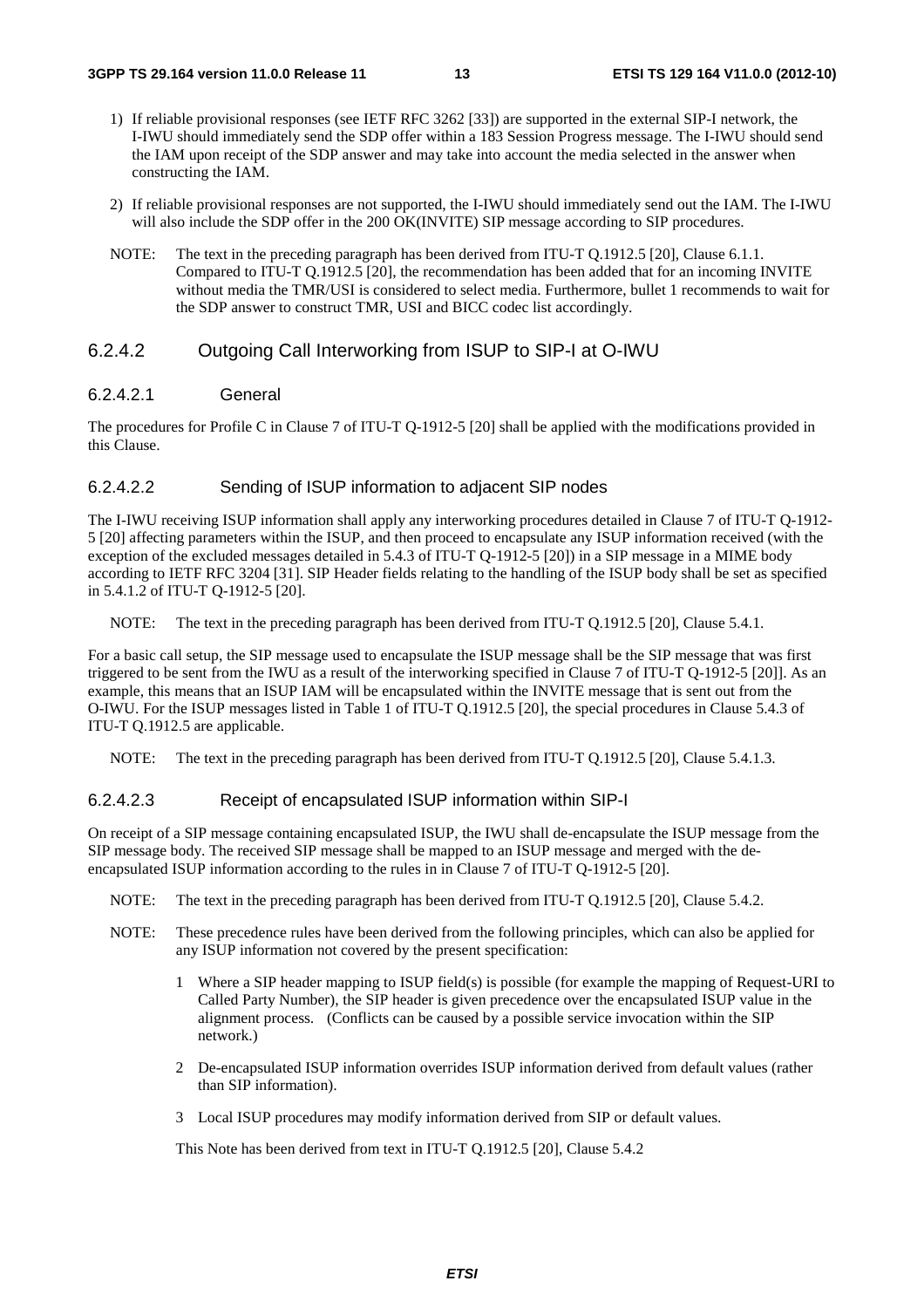- 1) If reliable provisional responses (see IETF RFC 3262 [33]) are supported in the external SIP-I network, the I-IWU should immediately send the SDP offer within a 183 Session Progress message. The I-IWU should send the IAM upon receipt of the SDP answer and may take into account the media selected in the answer when constructing the IAM.
- 2) If reliable provisional responses are not supported, the I-IWU should immediately send out the IAM. The I-IWU will also include the SDP offer in the 200 OK(INVITE) SIP message according to SIP procedures.
- NOTE: The text in the preceding paragraph has been derived from ITU-T Q.1912.5 [20], Clause 6.1.1. Compared to ITU-T Q.1912.5 [20], the recommendation has been added that for an incoming INVITE without media the TMR/USI is considered to select media. Furthermore, bullet 1 recommends to wait for the SDP answer to construct TMR, USI and BICC codec list accordingly.

#### 6.2.4.2 Outgoing Call Interworking from ISUP to SIP-I at O-IWU

#### 6.2.4.2.1 General

The procedures for Profile C in Clause 7 of ITU-T Q-1912-5 [20] shall be applied with the modifications provided in this Clause.

#### 6.2.4.2.2 Sending of ISUP information to adjacent SIP nodes

The I-IWU receiving ISUP information shall apply any interworking procedures detailed in Clause 7 of ITU-T Q-1912- 5 [20] affecting parameters within the ISUP, and then proceed to encapsulate any ISUP information received (with the exception of the excluded messages detailed in 5.4.3 of ITU-T Q-1912-5 [20]) in a SIP message in a MIME body according to IETF RFC 3204 [31]. SIP Header fields relating to the handling of the ISUP body shall be set as specified in 5.4.1.2 of ITU-T Q-1912-5 [20].

NOTE: The text in the preceding paragraph has been derived from ITU-T 0.1912.5 [20], Clause 5.4.1.

For a basic call setup, the SIP message used to encapsulate the ISUP message shall be the SIP message that was first triggered to be sent from the IWU as a result of the interworking specified in Clause 7 of ITU-T Q-1912-5 [20]]. As an example, this means that an ISUP IAM will be encapsulated within the INVITE message that is sent out from the O-IWU. For the ISUP messages listed in Table 1 of ITU-T Q.1912.5 [20], the special procedures in Clause 5.4.3 of ITU-T Q.1912.5 are applicable.

NOTE: The text in the preceding paragraph has been derived from ITU-T 0.1912.5 [20], Clause 5.4.1.3.

#### 6.2.4.2.3 Receipt of encapsulated ISUP information within SIP-I

On receipt of a SIP message containing encapsulated ISUP, the IWU shall de-encapsulate the ISUP message from the SIP message body. The received SIP message shall be mapped to an ISUP message and merged with the deencapsulated ISUP information according to the rules in in Clause 7 of ITU-T Q-1912-5 [20].

- NOTE: The text in the preceding paragraph has been derived from ITU-T Q.1912.5 [20], Clause 5.4.2.
- NOTE: These precedence rules have been derived from the following principles, which can also be applied for any ISUP information not covered by the present specification:
	- 1 Where a SIP header mapping to ISUP field(s) is possible (for example the mapping of Request-URI to Called Party Number), the SIP header is given precedence over the encapsulated ISUP value in the alignment process. (Conflicts can be caused by a possible service invocation within the SIP network.)
	- 2 De-encapsulated ISUP information overrides ISUP information derived from default values (rather than SIP information).
	- 3 Local ISUP procedures may modify information derived from SIP or default values.

This Note has been derived from text in ITU-T Q.1912.5 [20], Clause 5.4.2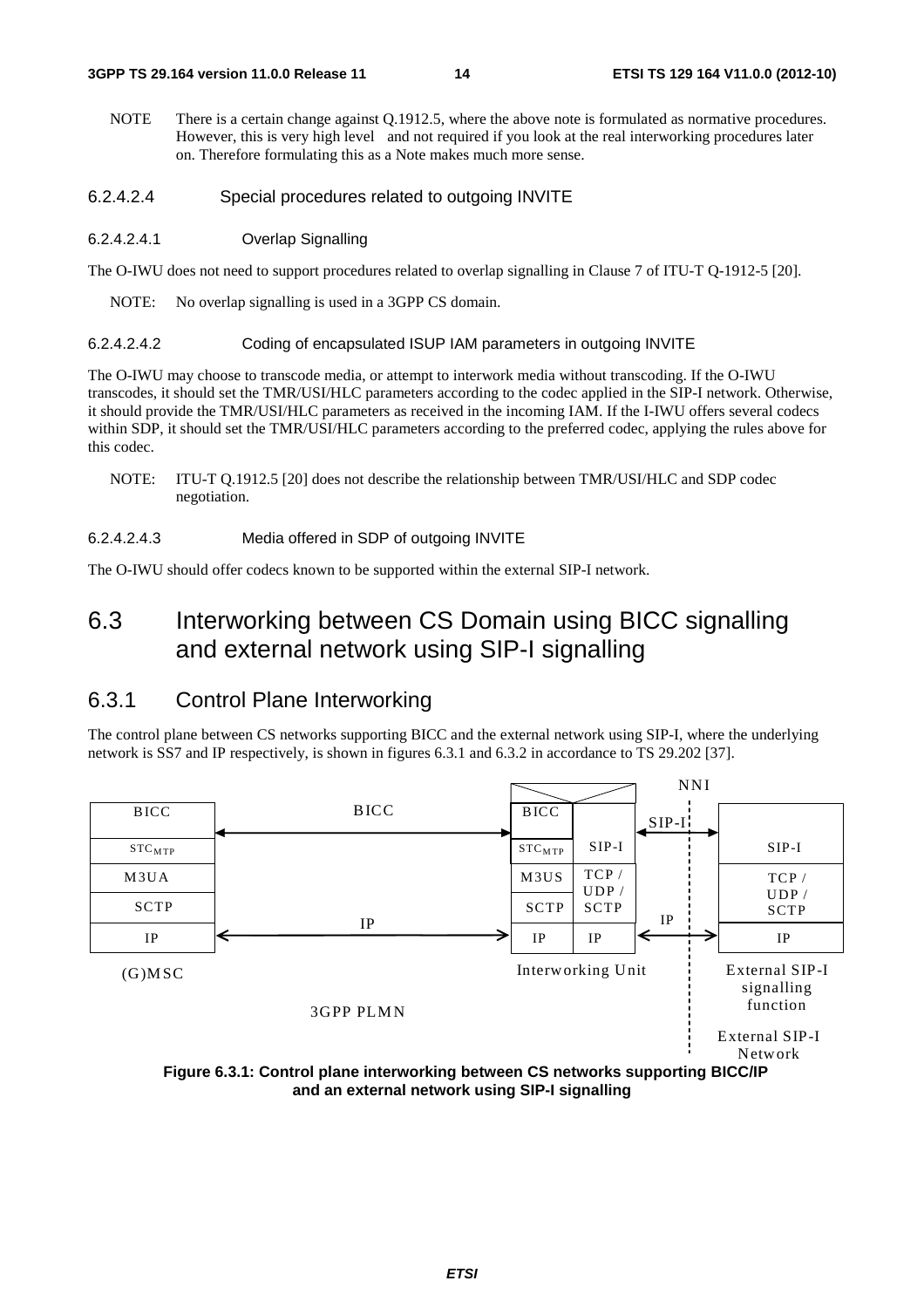- NOTE There is a certain change against Q.1912.5, where the above note is formulated as normative procedures. However, this is very high level and not required if you look at the real interworking procedures later on. Therefore formulating this as a Note makes much more sense.
- 6.2.4.2.4 Special procedures related to outgoing INVITE
- 6.2.4.2.4.1 Overlap Signalling

The O-IWU does not need to support procedures related to overlap signalling in Clause 7 of ITU-T Q-1912-5 [20].

NOTE: No overlap signalling is used in a 3GPP CS domain.

#### 6.2.4.2.4.2 Coding of encapsulated ISUP IAM parameters in outgoing INVITE

The O-IWU may choose to transcode media, or attempt to interwork media without transcoding. If the O-IWU transcodes, it should set the TMR/USI/HLC parameters according to the codec applied in the SIP-I network. Otherwise, it should provide the TMR/USI/HLC parameters as received in the incoming IAM. If the I-IWU offers several codecs within SDP, it should set the TMR/USI/HLC parameters according to the preferred codec, applying the rules above for this codec.

NOTE: ITU-T Q.1912.5 [20] does not describe the relationship between TMR/USI/HLC and SDP codec negotiation.

#### 6.2.4.2.4.3 Media offered in SDP of outgoing INVITE

The O-IWU should offer codecs known to be supported within the external SIP-I network.

### 6.3 Interworking between CS Domain using BICC signalling and external network using SIP-I signalling

#### 6.3.1 Control Plane Interworking

The control plane between CS networks supporting BICC and the external network using SIP-I, where the underlying network is SS7 and IP respectively, is shown in figures 6.3.1 and 6.3.2 in accordance to TS 29.202 [37].



**and an external network using SIP-I signalling**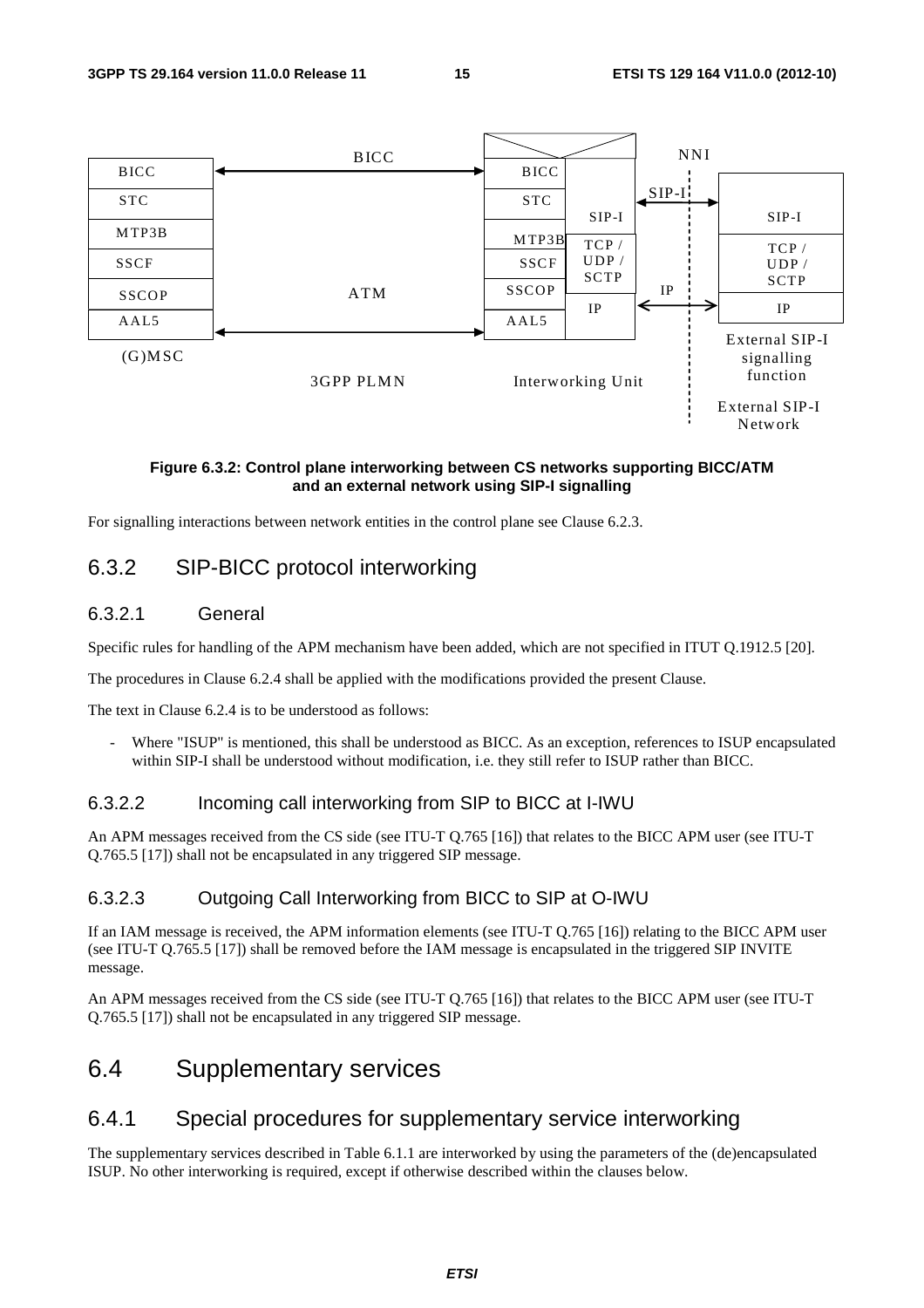

#### **Figure 6.3.2: Control plane interworking between CS networks supporting BICC/ATM and an external network using SIP-I signalling**

For signalling interactions between network entities in the control plane see Clause 6.2.3.

### 6.3.2 SIP-BICC protocol interworking

#### 6.3.2.1 General

Specific rules for handling of the APM mechanism have been added, which are not specified in ITUT Q.1912.5 [20].

The procedures in Clause 6.2.4 shall be applied with the modifications provided the present Clause.

The text in Clause 6.2.4 is to be understood as follows:

Where "ISUP" is mentioned, this shall be understood as BICC. As an exception, references to ISUP encapsulated within SIP-I shall be understood without modification, i.e. they still refer to ISUP rather than BICC.

#### 6.3.2.2 Incoming call interworking from SIP to BICC at I-IWU

An APM messages received from the CS side (see ITU-T Q.765 [16]) that relates to the BICC APM user (see ITU-T Q.765.5 [17]) shall not be encapsulated in any triggered SIP message.

#### 6.3.2.3 Outgoing Call Interworking from BICC to SIP at O-IWU

If an IAM message is received, the APM information elements (see ITU-T Q.765 [16]) relating to the BICC APM user (see ITU-T Q.765.5 [17]) shall be removed before the IAM message is encapsulated in the triggered SIP INVITE message.

An APM messages received from the CS side (see ITU-T Q.765 [16]) that relates to the BICC APM user (see ITU-T Q.765.5 [17]) shall not be encapsulated in any triggered SIP message.

# 6.4 Supplementary services

### 6.4.1 Special procedures for supplementary service interworking

The supplementary services described in Table 6.1.1 are interworked by using the parameters of the (de)encapsulated ISUP. No other interworking is required, except if otherwise described within the clauses below.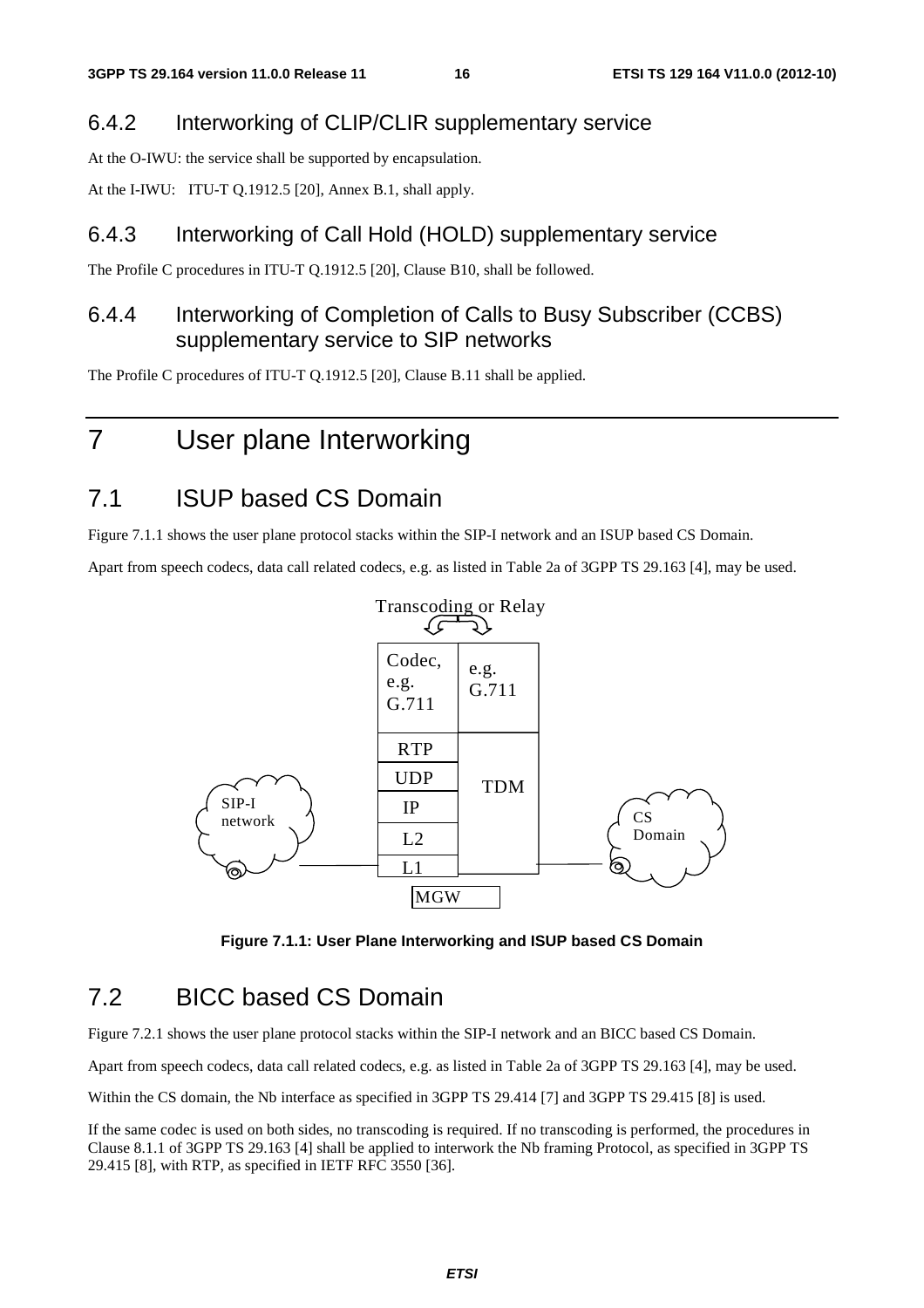### 6.4.2 Interworking of CLIP/CLIR supplementary service

At the O-IWU: the service shall be supported by encapsulation.

At the I-IWU: ITU-T Q.1912.5 [20], Annex B.1, shall apply.

### 6.4.3 Interworking of Call Hold (HOLD) supplementary service

The Profile C procedures in ITU-T Q.1912.5 [20], Clause B10, shall be followed.

### 6.4.4 Interworking of Completion of Calls to Busy Subscriber (CCBS) supplementary service to SIP networks

The Profile C procedures of ITU-T Q.1912.5 [20], Clause B.11 shall be applied.

# 7 User plane Interworking

# 7.1 ISUP based CS Domain

Figure 7.1.1 shows the user plane protocol stacks within the SIP-I network and an ISUP based CS Domain.

Apart from speech codecs, data call related codecs, e.g. as listed in Table 2a of 3GPP TS 29.163 [4], may be used.



**Figure 7.1.1: User Plane Interworking and ISUP based CS Domain** 

## 7.2 BICC based CS Domain

Figure 7.2.1 shows the user plane protocol stacks within the SIP-I network and an BICC based CS Domain.

Apart from speech codecs, data call related codecs, e.g. as listed in Table 2a of 3GPP TS 29.163 [4], may be used.

Within the CS domain, the Nb interface as specified in 3GPP TS 29.414 [7] and 3GPP TS 29.415 [8] is used.

If the same codec is used on both sides, no transcoding is required. If no transcoding is performed, the procedures in Clause 8.1.1 of 3GPP TS 29.163 [4] shall be applied to interwork the Nb framing Protocol, as specified in 3GPP TS 29.415 [8], with RTP, as specified in IETF RFC 3550 [36].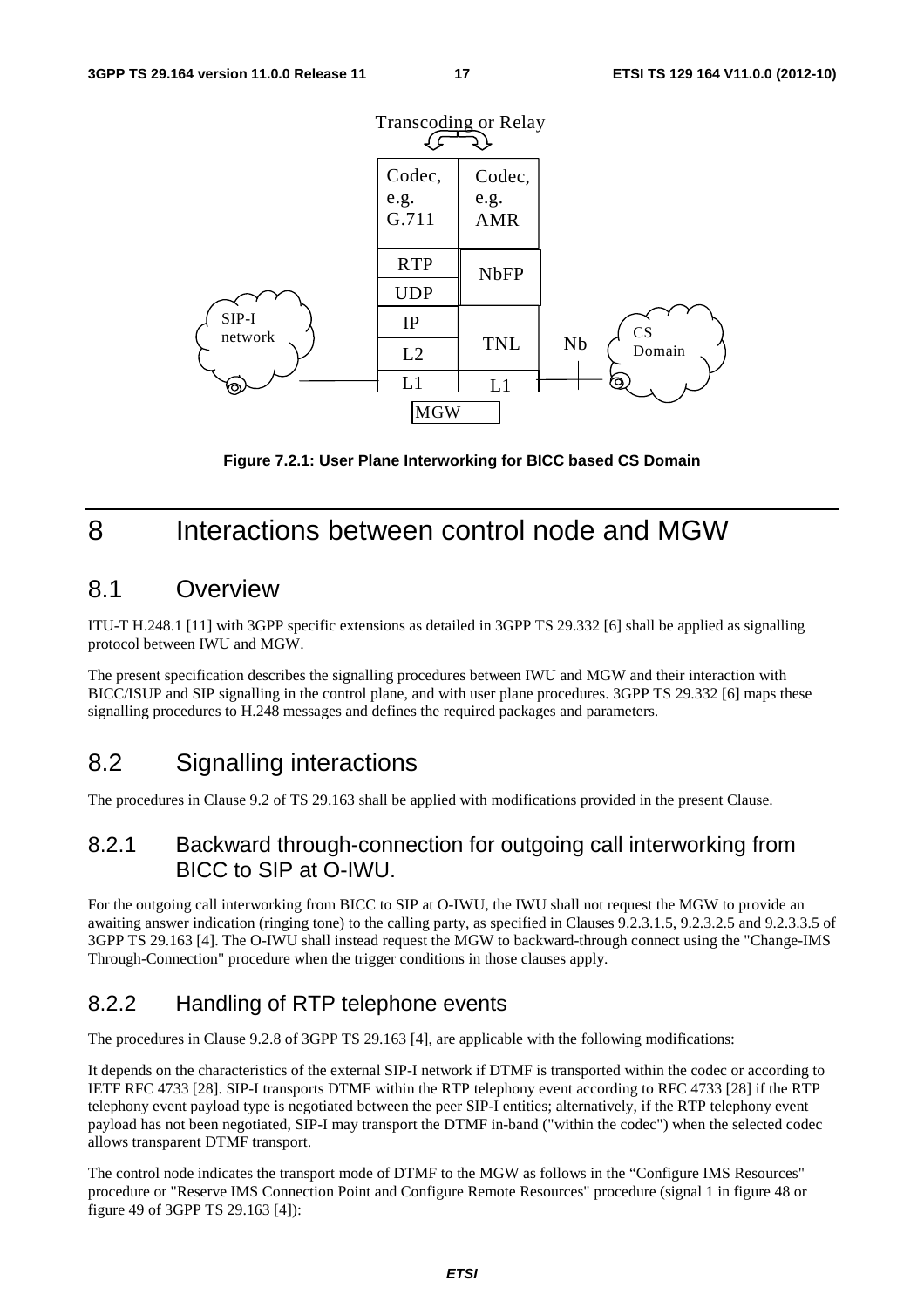

**Figure 7.2.1: User Plane Interworking for BICC based CS Domain** 

# 8 Interactions between control node and MGW

### 8.1 Overview

ITU-T H.248.1 [11] with 3GPP specific extensions as detailed in 3GPP TS 29.332 [6] shall be applied as signalling protocol between IWU and MGW.

The present specification describes the signalling procedures between IWU and MGW and their interaction with BICC/ISUP and SIP signalling in the control plane, and with user plane procedures. 3GPP TS 29.332 [6] maps these signalling procedures to H.248 messages and defines the required packages and parameters.

## 8.2 Signalling interactions

The procedures in Clause 9.2 of TS 29.163 shall be applied with modifications provided in the present Clause.

### 8.2.1 Backward through-connection for outgoing call interworking from BICC to SIP at O-IWU.

For the outgoing call interworking from BICC to SIP at O-IWU, the IWU shall not request the MGW to provide an awaiting answer indication (ringing tone) to the calling party, as specified in Clauses 9.2.3.1.5, 9.2.3.2.5 and 9.2.3.3.5 of 3GPP TS 29.163 [4]. The O-IWU shall instead request the MGW to backward-through connect using the "Change-IMS Through-Connection" procedure when the trigger conditions in those clauses apply.

### 8.2.2 Handling of RTP telephone events

The procedures in Clause 9.2.8 of 3GPP TS 29.163 [4], are applicable with the following modifications:

It depends on the characteristics of the external SIP-I network if DTMF is transported within the codec or according to IETF RFC 4733 [28]. SIP-I transports DTMF within the RTP telephony event according to RFC 4733 [28] if the RTP telephony event payload type is negotiated between the peer SIP-I entities; alternatively, if the RTP telephony event payload has not been negotiated, SIP-I may transport the DTMF in-band ("within the codec") when the selected codec allows transparent DTMF transport.

The control node indicates the transport mode of DTMF to the MGW as follows in the "Configure IMS Resources" procedure or "Reserve IMS Connection Point and Configure Remote Resources" procedure (signal 1 in figure 48 or figure 49 of 3GPP TS 29.163 [4]):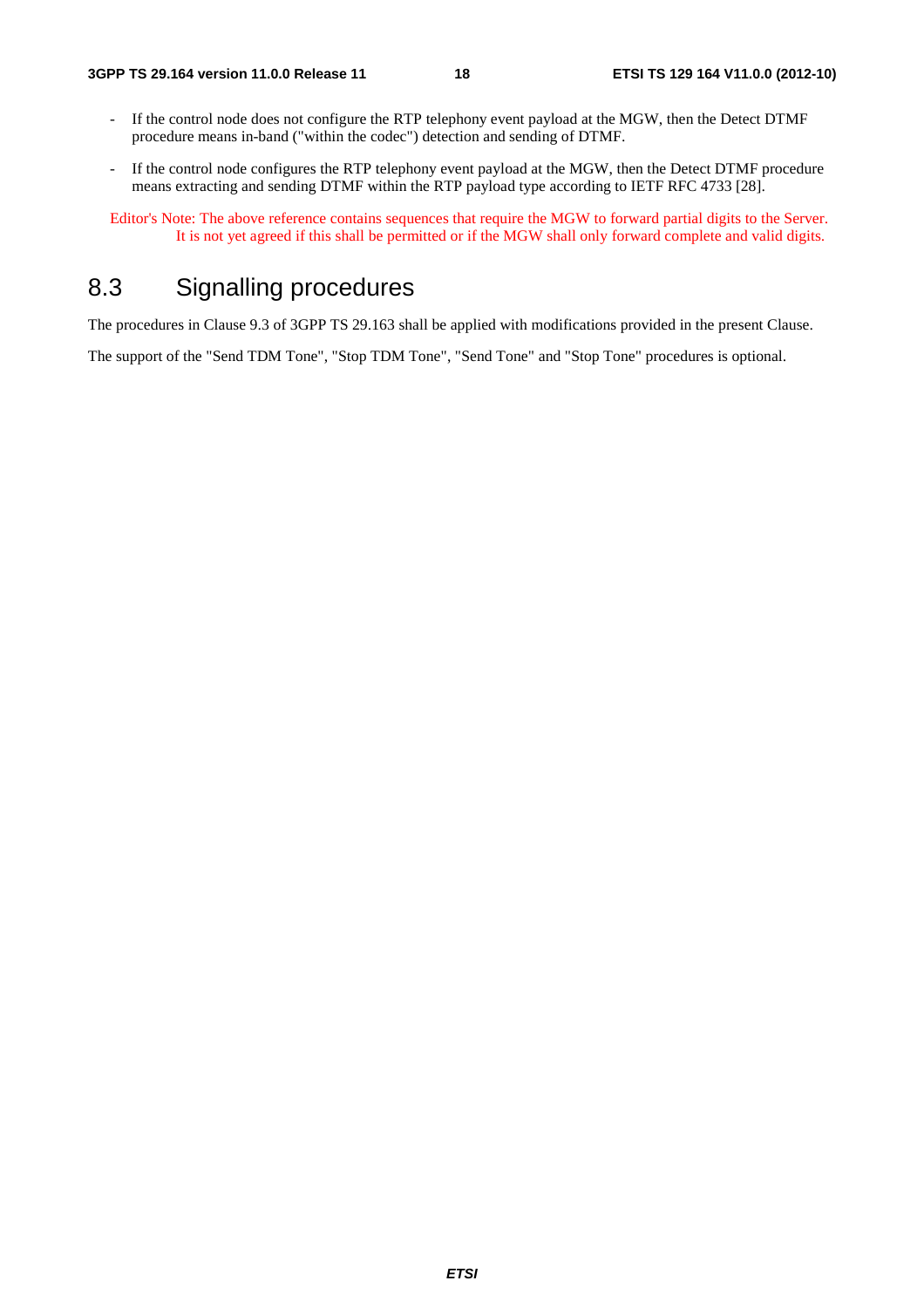- If the control node does not configure the RTP telephony event payload at the MGW, then the Detect DTMF procedure means in-band ("within the codec") detection and sending of DTMF.
- If the control node configures the RTP telephony event payload at the MGW, then the Detect DTMF procedure means extracting and sending DTMF within the RTP payload type according to IETF RFC 4733 [28].

Editor's Note: The above reference contains sequences that require the MGW to forward partial digits to the Server. It is not yet agreed if this shall be permitted or if the MGW shall only forward complete and valid digits.

# 8.3 Signalling procedures

The procedures in Clause 9.3 of 3GPP TS 29.163 shall be applied with modifications provided in the present Clause.

The support of the "Send TDM Tone", "Stop TDM Tone", "Send Tone" and "Stop Tone" procedures is optional.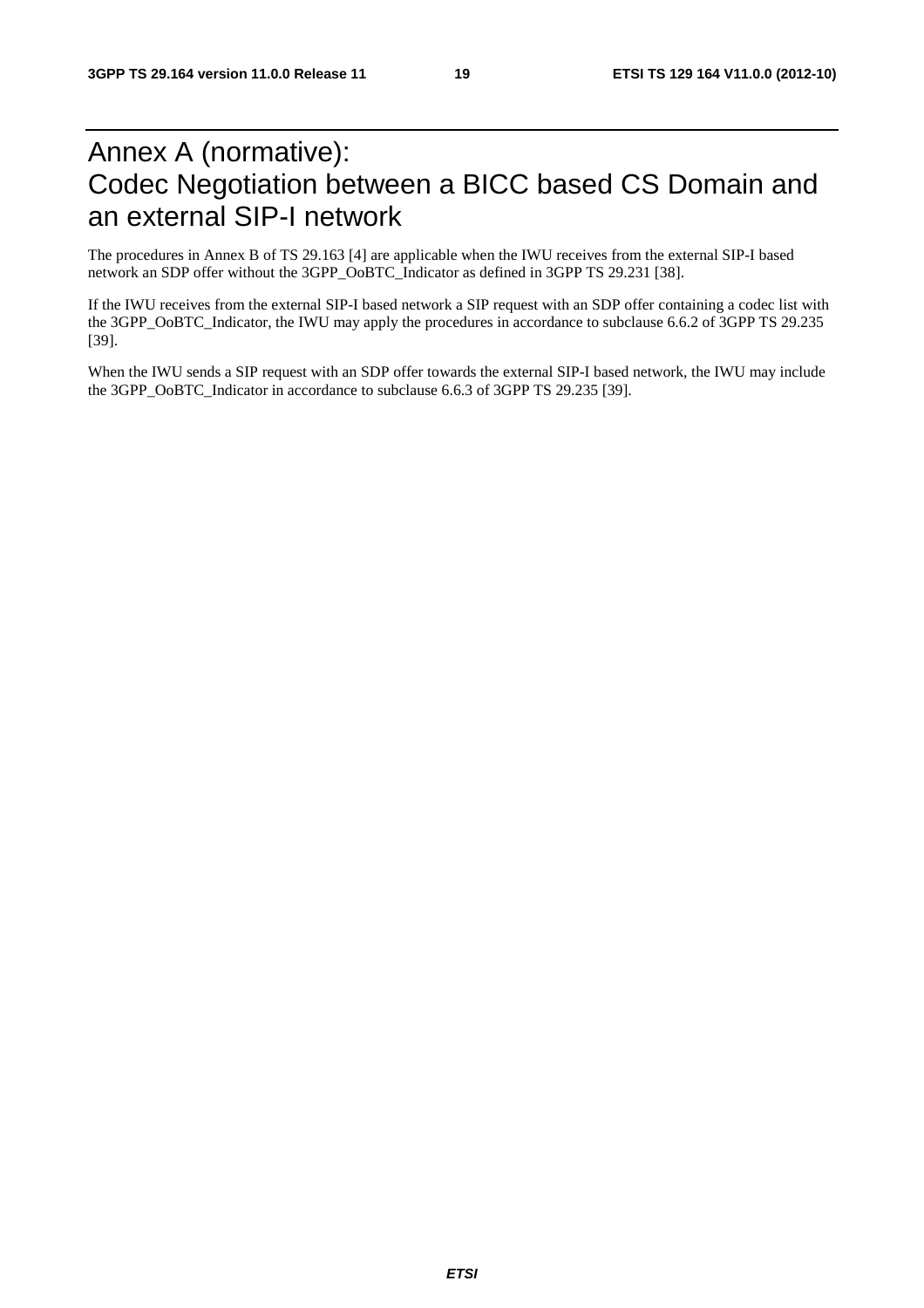# Annex A (normative): Codec Negotiation between a BICC based CS Domain and an external SIP-I network

The procedures in Annex B of TS 29.163 [4] are applicable when the IWU receives from the external SIP-I based network an SDP offer without the 3GPP\_OoBTC\_Indicator as defined in 3GPP TS 29.231 [38].

If the IWU receives from the external SIP-I based network a SIP request with an SDP offer containing a codec list with the 3GPP\_OoBTC\_Indicator, the IWU may apply the procedures in accordance to subclause 6.6.2 of 3GPP TS 29.235 [39].

When the IWU sends a SIP request with an SDP offer towards the external SIP-I based network, the IWU may include the 3GPP\_OoBTC\_Indicator in accordance to subclause 6.6.3 of 3GPP TS 29.235 [39].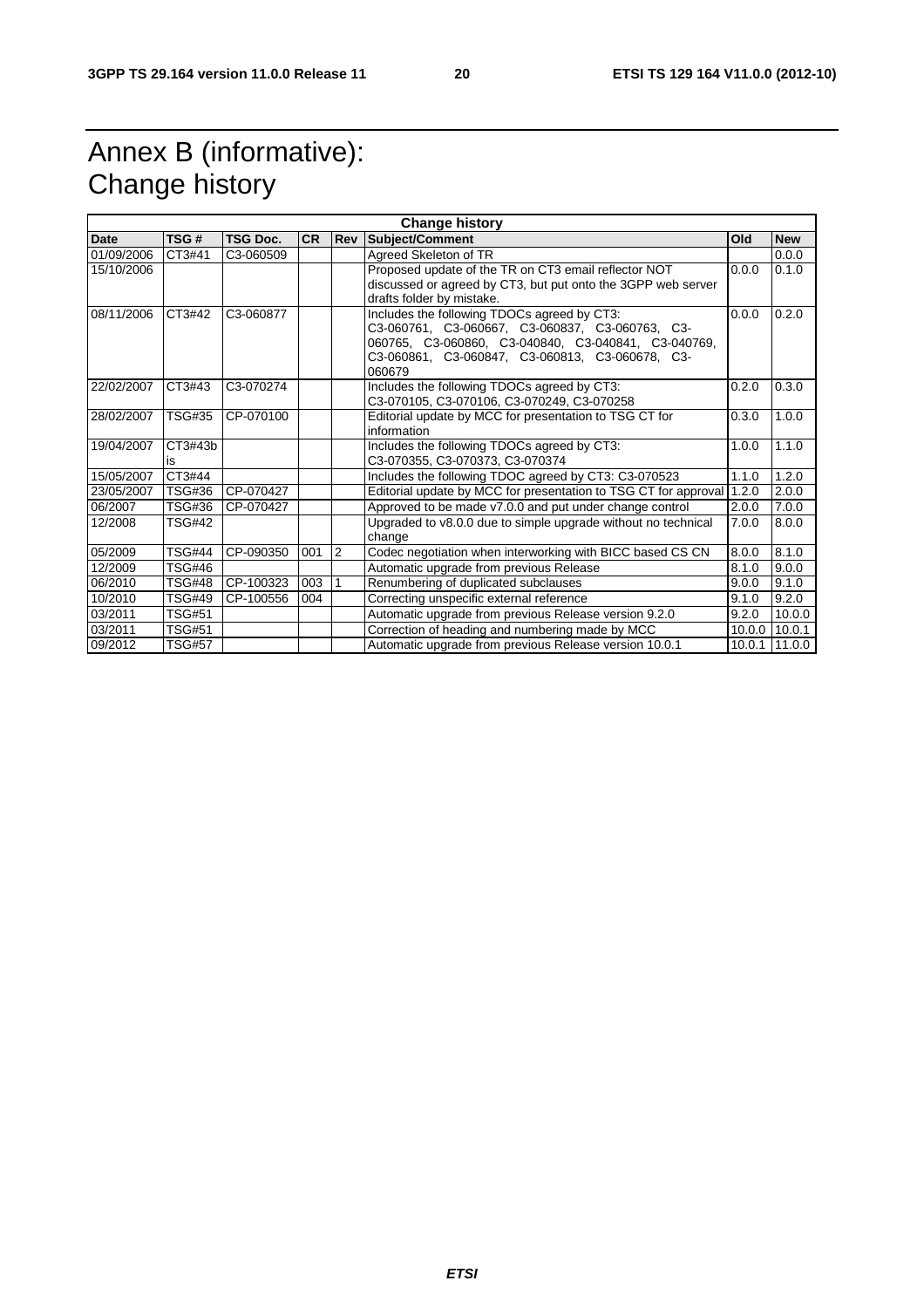# Annex B (informative): Change history

| <b>Change history</b> |               |                 |           |                |                                                                                                                                                                                                                    |        |            |
|-----------------------|---------------|-----------------|-----------|----------------|--------------------------------------------------------------------------------------------------------------------------------------------------------------------------------------------------------------------|--------|------------|
| Date                  | TSG#          | <b>TSG Doc.</b> | <b>CR</b> | <b>Rev</b>     | <b>Subject/Comment</b>                                                                                                                                                                                             | Old    | <b>New</b> |
| 01/09/2006            | CT3#41        | C3-060509       |           |                | Agreed Skeleton of TR                                                                                                                                                                                              |        | 0.0.0      |
| 15/10/2006            |               |                 |           |                | Proposed update of the TR on CT3 email reflector NOT                                                                                                                                                               | 0.0.0  | 0.1.0      |
|                       |               |                 |           |                | discussed or agreed by CT3, but put onto the 3GPP web server<br>drafts folder by mistake.                                                                                                                          |        |            |
| 08/11/2006            | CT3#42        | C3-060877       |           |                | Includes the following TDOCs agreed by CT3:<br>C3-060761, C3-060667, C3-060837, C3-060763, C3-<br>060765, C3-060860, C3-040840, C3-040841, C3-040769,<br>C3-060861, C3-060847, C3-060813, C3-060678, C3-<br>060679 | 0.0.0  | 0.2.0      |
| 22/02/2007            | CT3#43        | C3-070274       |           |                | Includes the following TDOCs agreed by CT3:<br>C3-070105, C3-070106, C3-070249, C3-070258                                                                                                                          | 0.2.0  | 0.3.0      |
| 28/02/2007            | <b>TSG#35</b> | CP-070100       |           |                | Editorial update by MCC for presentation to TSG CT for<br>information                                                                                                                                              | 0.3.0  | 1.0.0      |
| 19/04/2007            | CT3#43b<br>is |                 |           |                | Includes the following TDOCs agreed by CT3:<br>C3-070355, C3-070373, C3-070374                                                                                                                                     | 1.0.0  | 1.1.0      |
| 15/05/2007            | CT3#44        |                 |           |                | Includes the following TDOC agreed by CT3: C3-070523                                                                                                                                                               | 1.1.0  | 1.2.0      |
| 23/05/2007            | <b>TSG#36</b> | CP-070427       |           |                | Editorial update by MCC for presentation to TSG CT for approval                                                                                                                                                    | 1.2.0  | 2.0.0      |
| 06/2007               | <b>TSG#36</b> | CP-070427       |           |                | Approved to be made v7.0.0 and put under change control                                                                                                                                                            | 2.0.0  | 7.0.0      |
| 12/2008               | <b>TSG#42</b> |                 |           |                | Upgraded to v8.0.0 due to simple upgrade without no technical<br>change                                                                                                                                            | 7.0.0  | 8.0.0      |
| 05/2009               | <b>TSG#44</b> | CP-090350       | 001       | $\overline{2}$ | Codec negotiation when interworking with BICC based CS CN                                                                                                                                                          | 8.0.0  | 8.1.0      |
| 12/2009               | <b>TSG#46</b> |                 |           |                | Automatic upgrade from previous Release                                                                                                                                                                            | 8.1.0  | 9.0.0      |
| 06/2010               | <b>TSG#48</b> | CP-100323       | 003       | 1              | Renumbering of duplicated subclauses                                                                                                                                                                               | 9.0.0  | 9.1.0      |
| 10/2010               | <b>TSG#49</b> | CP-100556       | 004       |                | Correcting unspecific external reference                                                                                                                                                                           | 9.1.0  | 9.2.0      |
| 03/2011               | <b>TSG#51</b> |                 |           |                | Automatic upgrade from previous Release version 9.2.0                                                                                                                                                              | 9.2.0  | 10.0.0     |
| 03/2011               | <b>TSG#51</b> |                 |           |                | Correction of heading and numbering made by MCC                                                                                                                                                                    | 10.0.0 | 10.0.1     |
| 09/2012               | <b>TSG#57</b> |                 |           |                | Automatic upgrade from previous Release version 10.0.1                                                                                                                                                             | 10.0.1 | 11.0.0     |